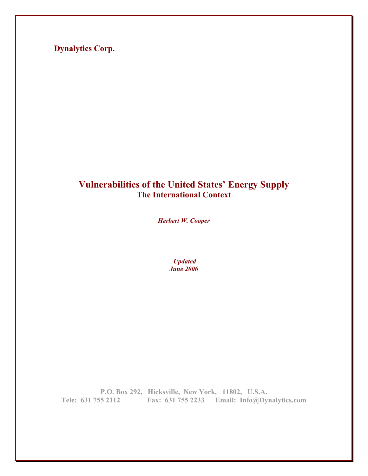**Dynalytics Corp.** 

# **Vulnerabilities of the United States' Energy Supply The International Context**

*Herbert W. Cooper* 

 *Updated June 2006* 

**P.O. Box 292, Hicksville, New York, 11802, U.S.A. Tele: 631 755 2112 Fax: 631 755 2233 Email: Info@Dynalytics.com**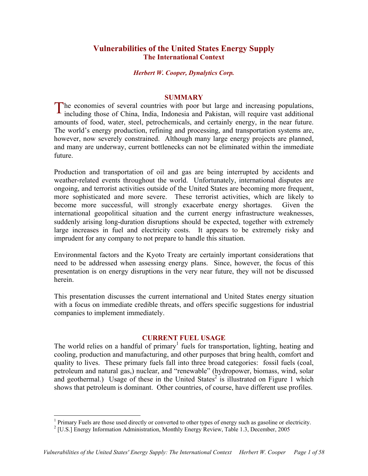# **Vulnerabilities of the United States Energy Supply The International Context**

### *Herbert W. Cooper, Dynalytics Corp.*

#### **SUMMARY**

The economies of several countries with poor but large and increasing populations, including those of China, India, Indonesia and Pakistan, will require vast additional including those of China, India, Indonesia and Pakistan, will require vast additional amounts of food, water, steel, petrochemicals, and certainly energy, in the near future. The world's energy production, refining and processing, and transportation systems are, however, now severely constrained. Although many large energy projects are planned, and many are underway, current bottlenecks can not be eliminated within the immediate future.

Production and transportation of oil and gas are being interrupted by accidents and weather-related events throughout the world. Unfortunately, international disputes are ongoing, and terrorist activities outside of the United States are becoming more frequent, more sophisticated and more severe. These terrorist activities, which are likely to become more successful, will strongly exacerbate energy shortages. Given the international geopolitical situation and the current energy infrastructure weaknesses, suddenly arising long-duration disruptions should be expected, together with extremely large increases in fuel and electricity costs. It appears to be extremely risky and imprudent for any company to not prepare to handle this situation.

Environmental factors and the Kyoto Treaty are certainly important considerations that need to be addressed when assessing energy plans. Since, however, the focus of this presentation is on energy disruptions in the very near future, they will not be discussed herein.

This presentation discusses the current international and United States energy situation with a focus on immediate credible threats, and offers specific suggestions for industrial companies to implement immediately.

## **CURRENT FUEL USAGE**

The world relies on a handful of primary<sup>1</sup> fuels for transportation, lighting, heating and cooling, production and manufacturing, and other purposes that bring health, comfort and quality to lives. These primary fuels fall into three broad categories: fossil fuels (coal, petroleum and natural gas,) nuclear, and "renewable" (hydropower, biomass, wind, solar and geothermal.) Usage of these in the United States<sup>2</sup> is illustrated on Figure 1 which shows that petroleum is dominant. Other countries, of course, have different use profiles.

<sup>&</sup>lt;sup>1</sup> Primary Fuels are those used directly or converted to other types of energy such as gasoline or electricity.<br><sup>2</sup> [U.S.] Energy Information Administration Monthly Energy Perieux, Table 1.2, December 2005

 $<sup>2</sup>$  [U.S.] Energy Information Administration, Monthly Energy Review, Table 1.3, December, 2005</sup>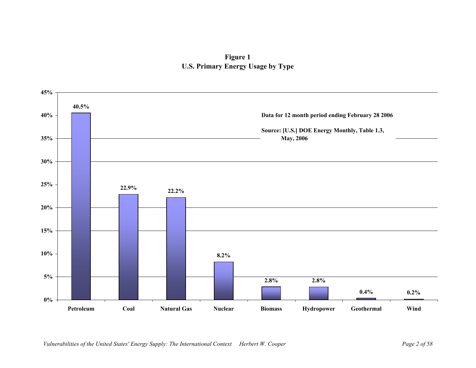# **Figure 1 U.S. Primary Energy Usage by Type**

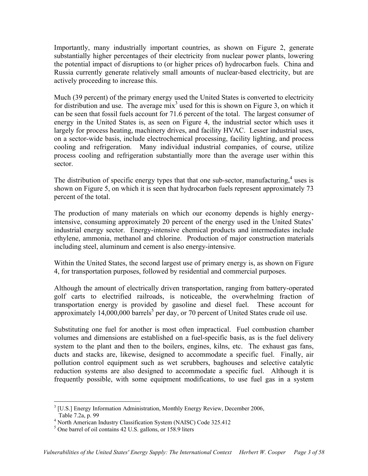Importantly, many industrially important countries, as shown on Figure 2, generate substantially higher percentages of their electricity from nuclear power plants, lowering the potential impact of disruptions to (or higher prices of) hydrocarbon fuels. China and Russia currently generate relatively small amounts of nuclear-based electricity, but are actively proceeding to increase this.

Much (39 percent) of the primary energy used the United States is converted to electricity for distribution and use. The average  $mix<sup>3</sup>$  used for this is shown on Figure 3, on which it can be seen that fossil fuels account for 71.6 percent of the total. The largest consumer of energy in the United States is, as seen on Figure 4, the industrial sector which uses it largely for process heating, machinery drives, and facility HVAC. Lesser industrial uses, on a sector-wide basis, include electrochemical processing, facility lighting, and process cooling and refrigeration. Many individual industrial companies, of course, utilize process cooling and refrigeration substantially more than the average user within this sector.

The distribution of specific energy types that that one sub-sector, manufacturing, $4$  uses is shown on Figure 5, on which it is seen that hydrocarbon fuels represent approximately 73 percent of the total.

The production of many materials on which our economy depends is highly energyintensive, consuming approximately 20 percent of the energy used in the United States' industrial energy sector. Energy-intensive chemical products and intermediates include ethylene, ammonia, methanol and chlorine. Production of major construction materials including steel, aluminum and cement is also energy-intensive.

Within the United States, the second largest use of primary energy is, as shown on Figure 4, for transportation purposes, followed by residential and commercial purposes.

Although the amount of electrically driven transportation, ranging from battery-operated golf carts to electrified railroads, is noticeable, the overwhelming fraction of transportation energy is provided by gasoline and diesel fuel. These account for approximately  $14,000,000$  barrels<sup>5</sup> per day, or 70 percent of United States crude oil use.

Substituting one fuel for another is most often impractical. Fuel combustion chamber volumes and dimensions are established on a fuel-specific basis, as is the fuel delivery system to the plant and then to the boilers, engines, kilns, etc. The exhaust gas fans, ducts and stacks are, likewise, designed to accommodate a specific fuel. Finally, air pollution control equipment such as wet scrubbers, baghouses and selective catalytic reduction systems are also designed to accommodate a specific fuel. Although it is frequently possible, with some equipment modifications, to use fuel gas in a system

 $\overline{a}$ 

 $3$  [U.S.] Energy Information Administration, Monthly Energy Review, December 2006, Table 7.2a, p. 99

 $^{4}$  North American Industry Classification System (NAISC) Code 325.412

 $<sup>5</sup>$  One barrel of oil contains 42 U.S. gallons, or 158.9 liters</sup>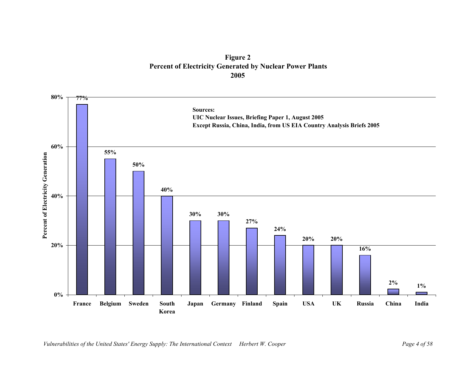**Figure 2 Percent of Electricity Generated by Nuclear Power Plants 2005**

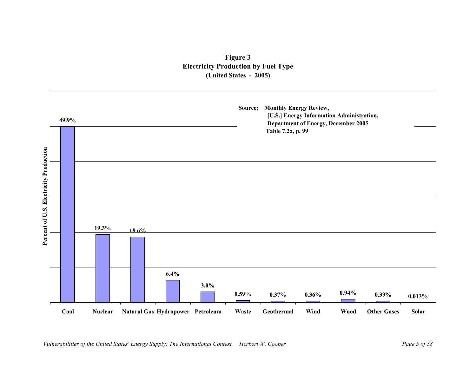# **Figure 3 Electricity Production by Fuel Type (United States - 2005)**

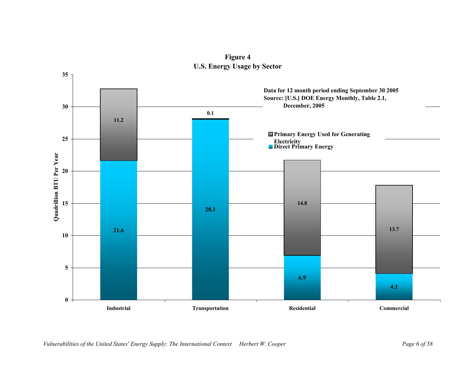

**Figure 4 U.S. Energy Usage by Sector**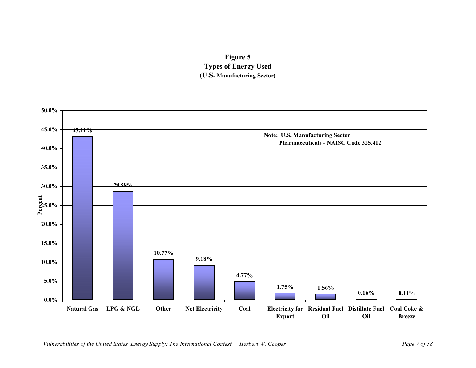

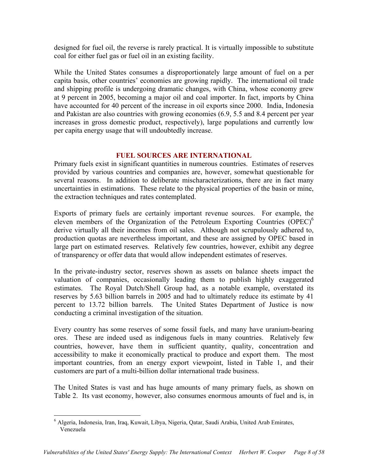designed for fuel oil, the reverse is rarely practical. It is virtually impossible to substitute coal for either fuel gas or fuel oil in an existing facility.

While the United States consumes a disproportionately large amount of fuel on a per capita basis, other countries' economies are growing rapidly. The international oil trade and shipping profile is undergoing dramatic changes, with China, whose economy grew at 9 percent in 2005, becoming a major oil and coal importer. In fact, imports by China have accounted for 40 percent of the increase in oil exports since 2000. India, Indonesia and Pakistan are also countries with growing economies (6.9, 5.5 and 8.4 percent per year increases in gross domestic product, respectively), large populations and currently low per capita energy usage that will undoubtedly increase.

# **FUEL SOURCES ARE INTERNATIONAL**

Primary fuels exist in significant quantities in numerous countries. Estimates of reserves provided by various countries and companies are, however, somewhat questionable for several reasons. In addition to deliberate mischaracterizations, there are in fact many uncertainties in estimations. These relate to the physical properties of the basin or mine, the extraction techniques and rates contemplated.

Exports of primary fuels are certainly important revenue sources. For example, the eleven members of the Organization of the Petroleum Exporting Countries  $(OPEC)^6$ derive virtually all their incomes from oil sales. Although not scrupulously adhered to, production quotas are nevertheless important, and these are assigned by OPEC based in large part on estimated reserves. Relatively few countries, however, exhibit any degree of transparency or offer data that would allow independent estimates of reserves.

In the private-industry sector, reserves shown as assets on balance sheets impact the valuation of companies, occasionally leading them to publish highly exaggerated estimates. The Royal Dutch/Shell Group had, as a notable example, overstated its reserves by 5.63 billion barrels in 2005 and had to ultimately reduce its estimate by 41 percent to 13.72 billion barrels. The United States Department of Justice is now conducting a criminal investigation of the situation.

Every country has some reserves of some fossil fuels, and many have uranium-bearing ores. These are indeed used as indigenous fuels in many countries. Relatively few countries, however, have them in sufficient quantity, quality, concentration and accessibility to make it economically practical to produce and export them. The most important countries, from an energy export viewpoint, listed in Table 1, and their customers are part of a multi-billion dollar international trade business.

The United States is vast and has huge amounts of many primary fuels, as shown on Table 2. Its vast economy, however, also consumes enormous amounts of fuel and is, in

<sup>1</sup> 6 Algeria, Indonesia, Iran, Iraq, Kuwait, Libya, Nigeria, Qatar, Saudi Arabia, United Arab Emirates, Venezuela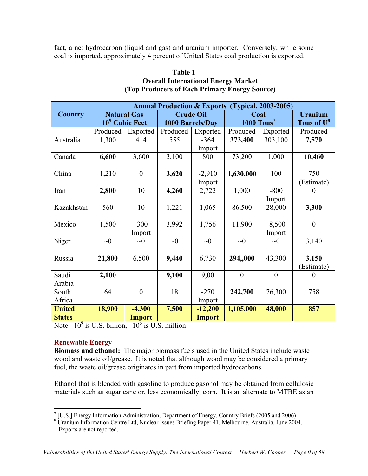fact, a net hydrocarbon (liquid and gas) and uranium importer. Conversely, while some coal is imported, approximately 4 percent of United States coal production is exported.

# **Table 1 Overall International Energy Market (Top Producers of Each Primary Energy Source)**

|                | <b>Annual Production &amp; Exports (Typical, 2003-2005)</b> |                                                  |                                      |               |                                  |          |                                          |
|----------------|-------------------------------------------------------------|--------------------------------------------------|--------------------------------------|---------------|----------------------------------|----------|------------------------------------------|
| <b>Country</b> |                                                             | <b>Natural Gas</b><br>10 <sup>9</sup> Cubic Feet | <b>Crude Oil</b><br>1000 Barrels/Day |               | Coal<br>$1000$ Tons <sup>7</sup> |          | <b>Uranium</b><br>Tons of U <sup>8</sup> |
|                | Produced                                                    | Exported                                         | Produced                             | Exported      | Produced                         | Exported | Produced                                 |
| Australia      | 1,300                                                       | 414                                              | 555                                  | $-364$        | 373,400                          | 303,100  | 7,570                                    |
|                |                                                             |                                                  |                                      | Import        |                                  |          |                                          |
| Canada         | 6,600                                                       | 3,600                                            | 3,100                                | 800           | 73,200                           | 1,000    | 10,460                                   |
| China          | 1,210                                                       | $\boldsymbol{0}$                                 | 3,620                                | $-2,910$      | 1,630,000                        | 100      | 750                                      |
|                |                                                             |                                                  |                                      | Import        |                                  |          | (Estimate)                               |
| Iran           | 2,800                                                       | 10                                               | 4,260                                | 2,722         | 1,000                            | $-800$   |                                          |
|                |                                                             |                                                  |                                      |               |                                  | Import   |                                          |
| Kazakhstan     | 560                                                         | 10                                               | 1,221                                | 1,065         | 86,500                           | 28,000   | 3,300                                    |
| Mexico         | 1,500                                                       | $-300$                                           | 3,992                                | 1,756         | 11,900                           | $-8,500$ | $\overline{0}$                           |
|                |                                                             | Import                                           |                                      |               |                                  | Import   |                                          |
| Niger          | $\sim 0$                                                    | $\sim 0$                                         | $\sim 0$                             | $\sim 0$      | $\sim 0$                         | $\sim 0$ | 3,140                                    |
| Russia         | 21,800                                                      | 6,500                                            | 9,440                                | 6,730         | 294,,000                         | 43,300   | 3,150                                    |
|                |                                                             |                                                  |                                      |               |                                  |          | (Estimate)                               |
| Saudi          | 2,100                                                       |                                                  | 9,100                                | 9,00          | $\mathbf{0}$                     | $\theta$ |                                          |
| Arabia         |                                                             |                                                  |                                      |               |                                  |          |                                          |
| South          | 64                                                          | $\boldsymbol{0}$                                 | 18                                   | $-270$        | 242,700                          | 76,300   | 758                                      |
| Africa         |                                                             |                                                  |                                      | Import        |                                  |          |                                          |
| <b>United</b>  | 18,900                                                      | $-4,300$                                         | 7,500                                | $-12,200$     | 1,105,000                        | 48,000   | 857                                      |
| <b>States</b>  |                                                             | <b>Import</b>                                    |                                      | <b>Import</b> |                                  |          |                                          |

Note:  $10^9$  is U.S. billion,  $10^6$  is U.S. million

# **Renewable Energy**

**Biomass and ethanol:** The major biomass fuels used in the United States include waste wood and waste oil/grease. It is noted that although wood may be considered a primary fuel, the waste oil/grease originates in part from imported hydrocarbons.

Ethanol that is blended with gasoline to produce gasohol may be obtained from cellulosic materials such as sugar cane or, less economically, corn. It is an alternate to MTBE as an

<sup>1</sup>  $7$  [U.S.] Energy Information Administration, Department of Energy, Country Briefs (2005 and 2006)

<sup>&</sup>lt;sup>8</sup> Uranium Information Centre Ltd, Nuclear Issues Briefing Paper 41, Melbourne, Australia, June 2004. Exports are not reported.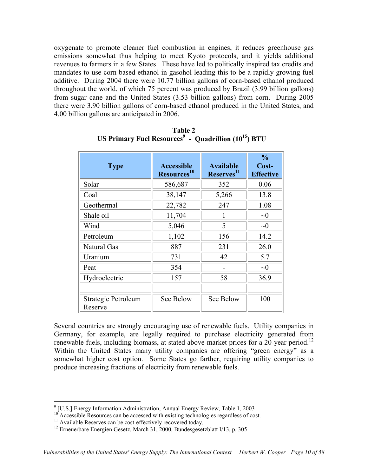oxygenate to promote cleaner fuel combustion in engines, it reduces greenhouse gas emissions somewhat thus helping to meet Kyoto protocols, and it yields additional revenues to farmers in a few States. These have led to politically inspired tax credits and mandates to use corn-based ethanol in gasohol leading this to be a rapidly growing fuel additive. During 2004 there were 10.77 billion gallons of corn-based ethanol produced throughout the world, of which 75 percent was produced by Brazil (3.99 billion gallons) from sugar cane and the United States (3.53 billion gallons) from corn. During 2005 there were 3.90 billion gallons of corn-based ethanol produced in the United States, and 4.00 billion gallons are anticipated in 2006.

| <b>Type</b>                    | <b>Accessible</b><br>Resources <sup>10</sup> | <b>Available</b><br>Reserves <sup>11</sup> | $\frac{0}{0}$<br>Cost-<br><b>Effective</b> |
|--------------------------------|----------------------------------------------|--------------------------------------------|--------------------------------------------|
| Solar                          | 586,687                                      | 352                                        | 0.06                                       |
| Coal                           | 38,147                                       | 5,266                                      | 13.8                                       |
| Geothermal                     | 22,782                                       | 247                                        | 1.08                                       |
| Shale oil                      | 11,704                                       | 1                                          | $\sim 0$                                   |
| Wind                           | 5,046                                        | 5                                          | $\sim 0$                                   |
| Petroleum                      | 1,102                                        | 156                                        | 14.2                                       |
| Natural Gas                    | 887                                          | 231                                        | 26.0                                       |
| Uranium                        | 731                                          | 42                                         | 5.7                                        |
| Peat                           | 354                                          |                                            | $\sim 0$                                   |
| Hydroelectric                  | 157                                          | 58                                         | 36.9                                       |
|                                |                                              |                                            |                                            |
| Strategic Petroleum<br>Reserve | See Below                                    | See Below                                  | 100                                        |

**Table 2**  US Primary Fuel Resources<sup>9</sup> - Quadrillion (10<sup>15</sup>) BTU

Several countries are strongly encouraging use of renewable fuels. Utility companies in Germany, for example, are legally required to purchase electricity generated from renewable fuels, including biomass, at stated above-market prices for a  $20$ -year period.<sup>12</sup> Within the United States many utility companies are offering "green energy" as a somewhat higher cost option. Some States go farther, requiring utility companies to produce increasing fractions of electricity from renewable fuels.

<sup>&</sup>lt;sup>9</sup> [U.S.] Energy Information Administration, Annual Energy Review, Table 1, 2003

<sup>&</sup>lt;sup>10</sup> Accessible Resources can be accessed with existing technologies regardless of cost.<br><sup>11</sup> Available Reserves can be cost-effectively recovered today.<br><sup>12</sup> Erneuerbare Energien Gesetz, March 31, 2000, Bundesgesetzblatt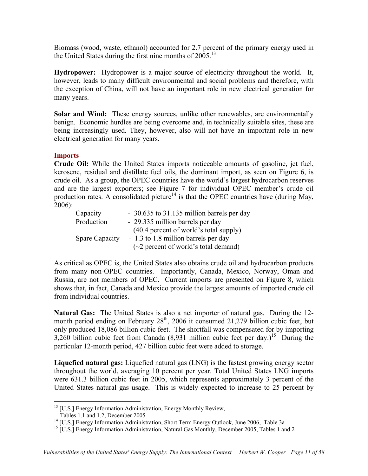Biomass (wood, waste, ethanol) accounted for 2.7 percent of the primary energy used in the United States during the first nine months of  $2005$ .<sup>13</sup>

**Hydropower:** Hydropower is a major source of electricity throughout the world. It, however, leads to many difficult environmental and social problems and therefore, with the exception of China, will not have an important role in new electrical generation for many years.

**Solar and Wind:** These energy sources, unlike other renewables, are environmentally benign. Economic hurdles are being overcome and, in technically suitable sites, these are being increasingly used. They, however, also will not have an important role in new electrical generation for many years.

# **Imports**

**Crude Oil:** While the United States imports noticeable amounts of gasoline, jet fuel, kerosene, residual and distillate fuel oils, the dominant import, as seen on Figure 6, is crude oil. As a group, the OPEC countries have the world's largest hydrocarbon reserves and are the largest exporters; see Figure 7 for individual OPEC member's crude oil production rates. A consolidated picture<sup>14</sup> is that the OPEC countries have (during May, 2006):

| Capacity              | - 30.635 to 31.135 million barrels per day |
|-----------------------|--------------------------------------------|
| Production            | - 29.335 million barrels per day           |
|                       | $(40.4)$ percent of world's total supply   |
| <b>Spare Capacity</b> | - 1.3 to 1.8 million barrels per day       |
|                       | $(\sim 2$ percent of world's total demand) |

As critical as OPEC is, the United States also obtains crude oil and hydrocarbon products from many non-OPEC countries. Importantly, Canada, Mexico, Norway, Oman and Russia, are not members of OPEC. Current imports are presented on Figure 8, which shows that, in fact, Canada and Mexico provide the largest amounts of imported crude oil from individual countries.

**Natural Gas:** The United States is also a net importer of natural gas. During the 12 month period ending on February  $28<sup>th</sup>$ , 2006 it consumed 21,279 billion cubic feet, but only produced 18,086 billion cubic feet. The shortfall was compensated for by importing 3,260 billion cubic feet from Canada  $(8,931)$  million cubic feet per day.)<sup>15</sup> During the particular 12-month period, 427 billion cubic feet were added to storage.

**Liquefied natural gas:** Liquefied natural gas (LNG) is the fastest growing energy sector throughout the world, averaging 10 percent per year. Total United States LNG imports were 631.3 billion cubic feet in 2005, which represents approximately 3 percent of the United States natural gas usage. This is widely expected to increase to 25 percent by

<sup>&</sup>lt;u>.</u>  $13$  [U.S.] Energy Information Administration, Energy Monthly Review,

Tables 1.1 and 1.2, December 2005

<sup>&</sup>lt;sup>14</sup> [U.S.] Energy Information Administration, Short Term Energy Outlook, June 2006, Table 3a

<sup>&</sup>lt;sup>15</sup> [U.S.] Energy Information Administration, Natural Gas Monthly, December 2005, Tables 1 and 2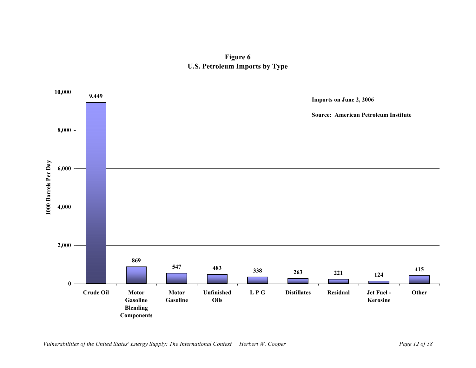# **Figure 6 U.S. Petroleum Imports by Type**

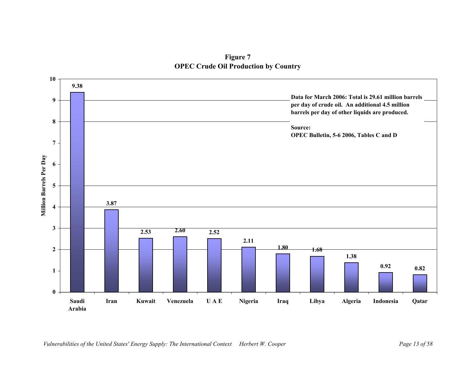**Figure 7 OPEC Crude Oil Production by Country**

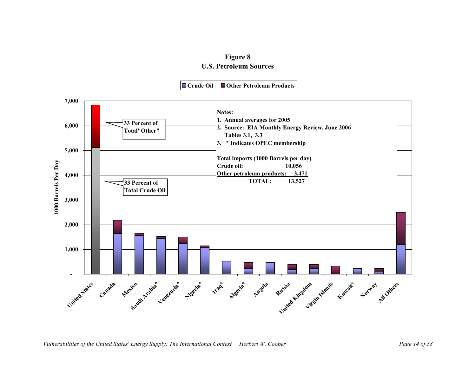# **Figure 8 U.S. Petroleum Sources**

**Crude Oil Other Petroleum Products**

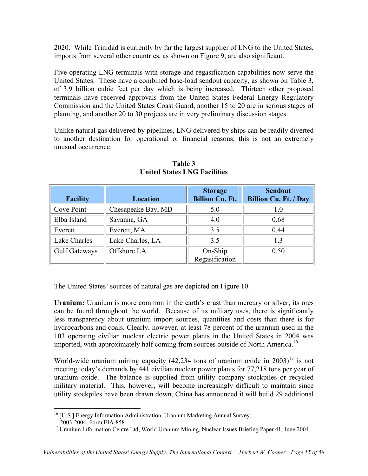2020. While Trinidad is currently by far the largest supplier of LNG to the United States, imports from several other countries, as shown on Figure 9, are also significant.

Five operating LNG terminals with storage and regasification capabilities now serve the United States. These have a combined base-load sendout capacity, as shown on Table 3, of 3.9 billion cubic feet per day which is being increased. Thirteen other proposed terminals have received approvals from the United States Federal Energy Regulatory Commission and the United States Coast Guard, another 15 to 20 are in serious stages of planning, and another 20 to 30 projects are in very preliminary discussion stages.

Unlike natural gas delivered by pipelines, LNG delivered by ships can be readily diverted to another destination for operational or financial reasons; this is not an extremely unusual occurrence.

| <b>Facility</b> | <b>Location</b>    | <b>Storage</b><br><b>Billion Cu. Ft.</b> | <b>Sendout</b><br><b>Billion Cu. Ft. / Day</b> |
|-----------------|--------------------|------------------------------------------|------------------------------------------------|
| Cove Point      | Chesapeake Bay, MD | 5.0                                      | 1.0                                            |
| Elba Island     | Savanna, GA        | 4.0                                      | 0.68                                           |
| Everett         | Everett, MA        | 3.5                                      | 0.44                                           |
| Lake Charles    | Lake Charles, LA   | 3.5                                      | 13                                             |
| Gulf Gateways   | Offshore LA        | On-Ship<br>Regasification                | 0.50                                           |

**Table 3 United States LNG Facilities** 

The United States' sources of natural gas are depicted on Figure 10.

**Uranium:** Uranium is more common in the earth's crust than mercury or silver; its ores can be found throughout the world. Because of its military uses, there is significantly less transparency about uranium import sources, quantities and costs than there is for hydrocarbons and coals. Clearly, however, at least 78 percent of the uranium used in the 103 operating civilian nuclear electric power plants in the United States in 2004 was imported, with approximately half coming from sources outside of North America.<sup>16</sup>

World-wide uranium mining capacity  $(42,234)$  tons of uranium oxide in  $2003$ <sup>17</sup> is not meeting today's demands by 441 civilian nuclear power plants for 77,218 tons per year of uranium oxide. The balance is supplied from utility company stockpiles or recycled military material. This, however, will become increasingly difficult to maintain since utility stockpiles have been drawn down, China has announced it will build 29 additional

 $\overline{a}$ <sup>16</sup> [U.S.] Energy Information Administration, Uranium Marketing Annual Survey,

 <sup>2003-2004,</sup> Form EIA-858

<sup>&</sup>lt;sup>17</sup> Uranium Information Centre Ltd, World Uranium Mining, Nuclear Issues Briefing Paper 41, June 2004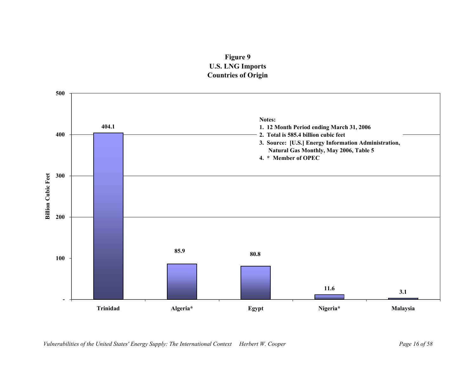# **Figure 9 U.S. LNG Imports Countries of Origin**

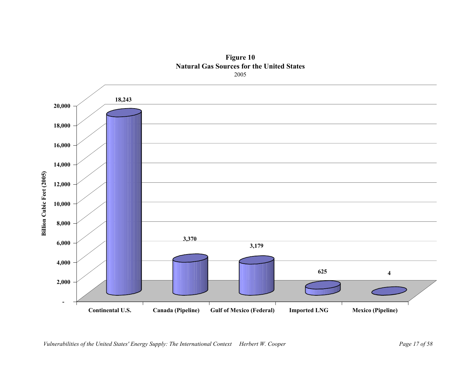

**Figure 10 Natural Gas Sources for the United States** 2005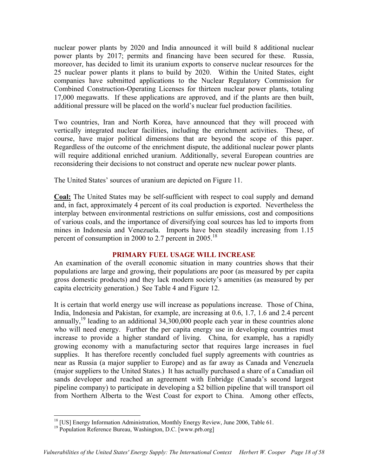nuclear power plants by 2020 and India announced it will build 8 additional nuclear power plants by 2017; permits and financing have been secured for these. Russia, moreover, has decided to limit its uranium exports to conserve nuclear resources for the 25 nuclear power plants it plans to build by 2020. Within the United States, eight companies have submitted applications to the Nuclear Regulatory Commission for Combined Construction-Operating Licenses for thirteen nuclear power plants, totaling 17,000 megawatts. If these applications are approved, and if the plants are then built, additional pressure will be placed on the world's nuclear fuel production facilities.

Two countries, Iran and North Korea, have announced that they will proceed with vertically integrated nuclear facilities, including the enrichment activities. These, of course, have major political dimensions that are beyond the scope of this paper. Regardless of the outcome of the enrichment dispute, the additional nuclear power plants will require additional enriched uranium. Additionally, several European countries are reconsidering their decisions to not construct and operate new nuclear power plants.

The United States' sources of uranium are depicted on Figure 11.

**Coal:** The United States may be self-sufficient with respect to coal supply and demand and, in fact, approximately 4 percent of its coal production is exported. Nevertheless the interplay between environmental restrictions on sulfur emissions, cost and compositions of various coals, and the importance of diversifying coal sources has led to imports from mines in Indonesia and Venezuela. Imports have been steadily increasing from 1.15 percent of consumption in 2000 to 2.7 percent in  $2005$ .<sup>18</sup>

# **PRIMARY FUEL USAGE WILL INCREASE**

An examination of the overall economic situation in many countries shows that their populations are large and growing, their populations are poor (as measured by per capita gross domestic products) and they lack modern society's amenities (as measured by per capita electricity generation.) See Table 4 and Figure 12.

It is certain that world energy use will increase as populations increase. Those of China, India, Indonesia and Pakistan, for example, are increasing at 0.6, 1.7, 1.6 and 2.4 percent annually,<sup>19</sup> leading to an additional  $34,300,000$  people each year in these countries alone who will need energy. Further the per capita energy use in developing countries must increase to provide a higher standard of living. China, for example, has a rapidly growing economy with a manufacturing sector that requires large increases in fuel supplies. It has therefore recently concluded fuel supply agreements with countries as near as Russia (a major supplier to Europe) and as far away as Canada and Venezuela (major suppliers to the United States.) It has actually purchased a share of a Canadian oil sands developer and reached an agreement with Enbridge (Canada's second largest pipeline company) to participate in developing a \$2 billion pipeline that will transport oil from Northern Alberta to the West Coast for export to China. Among other effects,

 $\overline{a}$ 

<sup>&</sup>lt;sup>18</sup> [US] Energy Information Administration, Monthly Energy Review, June 2006, Table 61.

<sup>&</sup>lt;sup>19</sup> Population Reference Bureau, Washington, D.C. [www.prb.org]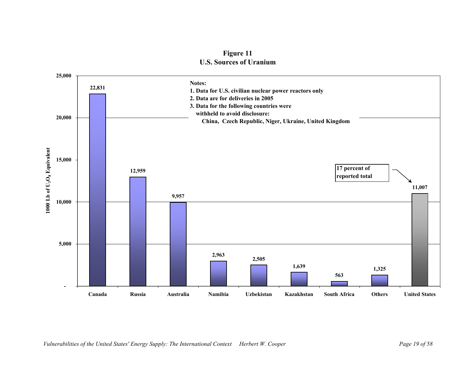

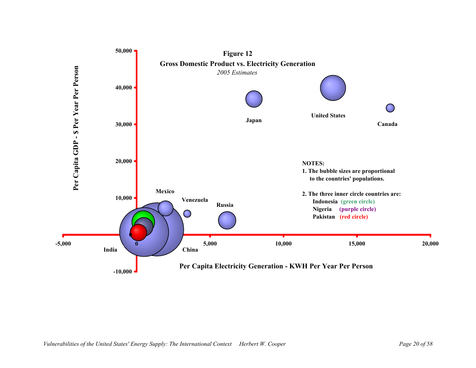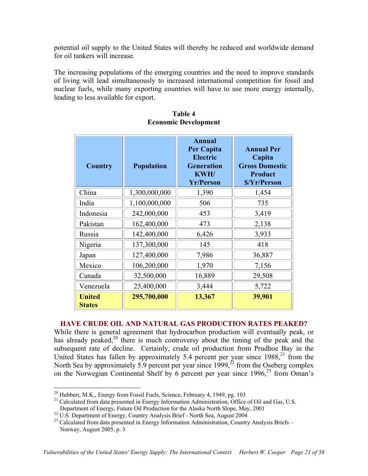potential oil supply to the United States will thereby be reduced and worldwide demand for oil tankers will increase.

The increasing populations of the emerging countries and the need to improve standards of living will lead simultaneously to increased international competition for fossil and nuclear fuels, while many exporting countries will have to use more energy internally, leading to less available for export.

| <b>Country</b>                 | <b>Population</b> | <b>Annual</b><br><b>Per Capita</b><br><b>Electric</b><br><b>Generation</b><br>KWH/<br><b>Yr/Person</b> | <b>Annual Per</b><br>Capita<br><b>Gross Domestic</b><br>Product<br>\$/Yr/Person |
|--------------------------------|-------------------|--------------------------------------------------------------------------------------------------------|---------------------------------------------------------------------------------|
| China                          | 1,300,000,000     | 1,390                                                                                                  | 1,454                                                                           |
| India                          | 1,100,000,000     | 506                                                                                                    | 735                                                                             |
| Indonesia                      | 242,000,000       | 453                                                                                                    | 3,419                                                                           |
| Pakistan                       | 162,400,000       | 473                                                                                                    | 2,138                                                                           |
| Russia                         | 142,400,000       | 6,426                                                                                                  | 3,933                                                                           |
| Nigeria                        | 137,300,000       | 145                                                                                                    | 418                                                                             |
| Japan                          | 127,400,000       | 7,986                                                                                                  | 36,887                                                                          |
| Mexico                         | 106,200,000       | 1,970                                                                                                  | 7,156                                                                           |
| Canada                         | 32,500,000        | 16,889                                                                                                 | 29,508                                                                          |
| Venezuela                      | 25,400,000        | 3,444                                                                                                  | 5,722                                                                           |
| <b>United</b><br><b>States</b> | 295,700,000       | 13,367                                                                                                 | 39,901                                                                          |

# **Table 4 Economic Development**

# **HAVE CRUDE OIL AND NATURAL GAS PRODUCTION RATES PEAKED?**

While there is general agreement that hydrocarbon production will eventually peak, or has already peaked,<sup>20</sup> there is much controversy about the timing of the peak and the subsequent rate of decline. Certainly, crude oil production from Prudhoe Bay in the United States has fallen by approximately 5.4 percent per year since  $1988$ <sup>21</sup>, from the North Sea by approximately 5.9 percent per year since  $1999$ ,<sup> $\frac{2}{3}$ </sup> from the Oseberg complex on the Norwegian Continental Shelf by 6 percent per year since  $1996<sup>23</sup>$  from Oman's

<sup>&</sup>lt;sup>20</sup> Hubbert, M.K., Energy from Fossil Fuels, Science, February 4, 1949, pg. 103

<sup>&</sup>lt;sup>21</sup> Calculated from data presented in Energy Information Administration, Office of Oil and Gas, U.S.

Department of Energy, Future Oil Production for the Alaska North Slope, May, 2001

<sup>&</sup>lt;sup>22</sup> U.S. Department of Energy, Country Analysis Brief - North Sea, August 2004

 $^{23}$  Calculated from data presented in Energy Information Administration, Country Analysis Briefs – Norway, August 2005, p. 3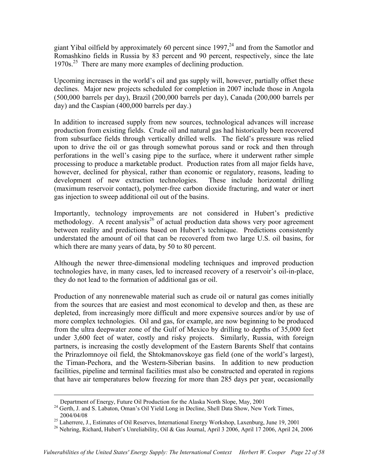giant Yibal oilfield by approximately 60 percent since  $1997$ ,<sup>24</sup> and from the Samotlor and Romashkino fields in Russia by 83 percent and 90 percent, respectively, since the late 1970s.25 There are many more examples of declining production.

Upcoming increases in the world's oil and gas supply will, however, partially offset these declines. Major new projects scheduled for completion in 2007 include those in Angola (500,000 barrels per day), Brazil (200,000 barrels per day), Canada (200,000 barrels per day) and the Caspian (400,000 barrels per day.)

In addition to increased supply from new sources, technological advances will increase production from existing fields. Crude oil and natural gas had historically been recovered from subsurface fields through vertically drilled wells. The field's pressure was relied upon to drive the oil or gas through somewhat porous sand or rock and then through perforations in the well's casing pipe to the surface, where it underwent rather simple processing to produce a marketable product. Production rates from all major fields have, however, declined for physical, rather than economic or regulatory, reasons, leading to development of new extraction technologies. These include horizontal drilling (maximum reservoir contact), polymer-free carbon dioxide fracturing, and water or inert gas injection to sweep additional oil out of the basins.

Importantly, technology improvements are not considered in Hubert's predictive methodology. A recent analysis<sup>26</sup> of actual production data shows very poor agreement between reality and predictions based on Hubert's technique. Predictions consistently understated the amount of oil that can be recovered from two large U.S. oil basins, for which there are many years of data, by 50 to 80 percent.

Although the newer three-dimensional modeling techniques and improved production technologies have, in many cases, led to increased recovery of a reservoir's oil-in-place, they do not lead to the formation of additional gas or oil.

Production of any nonrenewable material such as crude oil or natural gas comes initially from the sources that are easiest and most economical to develop and then, as these are depleted, from increasingly more difficult and more expensive sources and/or by use of more complex technologies. Oil and gas, for example, are now beginning to be produced from the ultra deepwater zone of the Gulf of Mexico by drilling to depths of 35,000 feet under 3,600 feet of water, costly and risky projects. Similarly, Russia, with foreign partners, is increasing the costly development of the Eastern Barents Shelf that contains the Prirazlomnoye oil field, the Shtokmanovskoye gas field (one of the world's largest), the Timan-Pechora, and the Western-Siberian basins. In addition to new production facilities, pipeline and terminal facilities must also be constructed and operated in regions that have air temperatures below freezing for more than 285 days per year, occasionally

Department of Energy, Future Oil Production for the Alaska North Slope, May, 2001

<sup>&</sup>lt;sup>24</sup> Gerth, J. and S. Labaton, Oman's Oil Yield Long in Decline, Shell Data Show, New York Times, 2004/04/08

<sup>&</sup>lt;sup>25</sup> Laherrere, J., Estimates of Oil Reserves, International Energy Workshop, Laxenburg, June 19, 2001

<sup>&</sup>lt;sup>26</sup> Nehring, Richard, Hubert's Unreliability, Oil & Gas Journal, April 3 2006, April 17 2006, April 24, 2006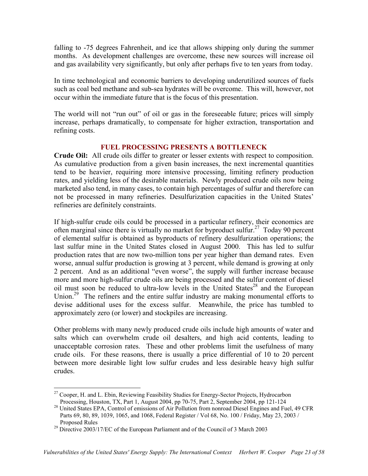falling to -75 degrees Fahrenheit, and ice that allows shipping only during the summer months. As development challenges are overcome, these new sources will increase oil and gas availability very significantly, but only after perhaps five to ten years from today.

In time technological and economic barriers to developing underutilized sources of fuels such as coal bed methane and sub-sea hydrates will be overcome. This will, however, not occur within the immediate future that is the focus of this presentation.

The world will not "run out" of oil or gas in the foreseeable future; prices will simply increase, perhaps dramatically, to compensate for higher extraction, transportation and refining costs.

# **FUEL PROCESSING PRESENTS A BOTTLENECK**

**Crude Oil:** All crude oils differ to greater or lesser extents with respect to composition. As cumulative production from a given basin increases, the next incremental quantities tend to be heavier, requiring more intensive processing, limiting refinery production rates, and yielding less of the desirable materials. Newly produced crude oils now being marketed also tend, in many cases, to contain high percentages of sulfur and therefore can not be processed in many refineries. Desulfurization capacities in the United States' refineries are definitely constraints.

If high-sulfur crude oils could be processed in a particular refinery, their economics are often marginal since there is virtually no market for byproduct sulfur.<sup>27</sup> Today 90 percent of elemental sulfur is obtained as byproducts of refinery desulfurization operations; the last sulfur mine in the United States closed in August 2000. This has led to sulfur production rates that are now two-million tons per year higher than demand rates. Even worse, annual sulfur production is growing at 3 percent, while demand is growing at only 2 percent. And as an additional "even worse", the supply will further increase because more and more high-sulfur crude oils are being processed and the sulfur content of diesel oil must soon be reduced to ultra-low levels in the United States<sup>28</sup> and the European Union.<sup>29</sup> The refiners and the entire sulfur industry are making monumental efforts to devise additional uses for the excess sulfur. Meanwhile, the price has tumbled to approximately zero (or lower) and stockpiles are increasing.

Other problems with many newly produced crude oils include high amounts of water and salts which can overwhelm crude oil desalters, and high acid contents, leading to unacceptable corrosion rates. These and other problems limit the usefulness of many crude oils. For these reasons, there is usually a price differential of 10 to 20 percent between more desirable light low sulfur crudes and less desirable heavy high sulfur crudes.

 $\overline{a}$ 

 $27$  Cooper, H. and L. Ebin, Reviewing Feasibility Studies for Energy-Sector Projects, Hydrocarbon Processing, Houston, TX, Part 1, August 2004, pp 70-75, Part 2, September 2004, pp 121-124

<sup>&</sup>lt;sup>28</sup> United States EPA, Control of emissions of Air Pollution from nonroad Diesel Engines and Fuel, 49 CFR Parts 69, 80, 89, 1039, 1065, and 1068, Federal Register / Vol 68, No. 100 / Friday, May 23, 2003 / Proposed Rules

<sup>&</sup>lt;sup>29</sup> Directive 2003/17/EC of the European Parliament and of the Council of 3 March 2003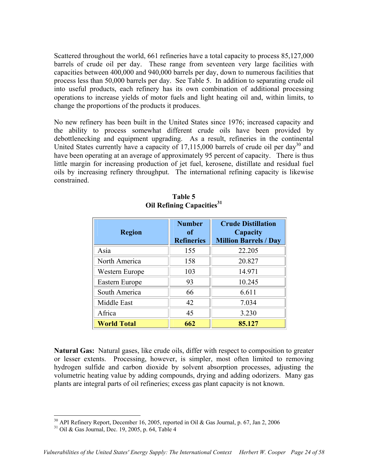Scattered throughout the world, 661 refineries have a total capacity to process 85,127,000 barrels of crude oil per day. These range from seventeen very large facilities with capacities between 400,000 and 940,000 barrels per day, down to numerous facilities that process less than 50,000 barrels per day. See Table 5. In addition to separating crude oil into useful products, each refinery has its own combination of additional processing operations to increase yields of motor fuels and light heating oil and, within limits, to change the proportions of the products it produces.

No new refinery has been built in the United States since 1976; increased capacity and the ability to process somewhat different crude oils have been provided by debottlenecking and equipment upgrading. As a result, refineries in the continental United States currently have a capacity of 17,115,000 barrels of crude oil per day<sup>30</sup> and have been operating at an average of approximately 95 percent of capacity. There is thus little margin for increasing production of jet fuel, kerosene, distillate and residual fuel oils by increasing refinery throughput. The international refining capacity is likewise constrained.

| <b>Region</b>      | <b>Number</b><br>of<br><b>Refineries</b> | <b>Crude Distillation</b><br>Capacity<br><b>Million Barrels / Day</b> |
|--------------------|------------------------------------------|-----------------------------------------------------------------------|
| Asia               | 155                                      | 22.205                                                                |
| North America      | 158                                      | 20.827                                                                |
| Western Europe     | 103                                      | 14.971                                                                |
| Eastern Europe     | 93                                       | 10.245                                                                |
| South America      | 66                                       | 6.611                                                                 |
| Middle East        | 42                                       | 7.034                                                                 |
| Africa             | 45                                       | 3.230                                                                 |
| <b>World Total</b> | 662                                      | 85.127                                                                |

**Table 5 Oil Refining Capacities<sup>31</sup>**

**Natural Gas:** Natural gases, like crude oils, differ with respect to composition to greater or lesser extents. Processing, however, is simpler, most often limited to removing hydrogen sulfide and carbon dioxide by solvent absorption processes, adjusting the volumetric heating value by adding compounds, drying and adding odorizers. Many gas plants are integral parts of oil refineries; excess gas plant capacity is not known.

1

<sup>&</sup>lt;sup>30</sup> API Refinery Report, December 16, 2005, reported in Oil & Gas Journal, p. 67, Jan 2, 2006<br><sup>31</sup> Oil & Gas Journal, Dec. 19, 2005, p. 64, Table 4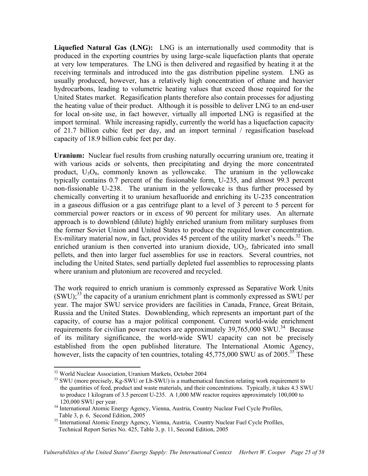**Liquefied Natural Gas (LNG):** LNG is an internationally used commodity that is produced in the exporting countries by using large-scale liquefaction plants that operate at very low temperatures. The LNG is then delivered and regasified by heating it at the receiving terminals and introduced into the gas distribution pipeline system. LNG as usually produced, however, has a relatively high concentration of ethane and heavier hydrocarbons, leading to volumetric heating values that exceed those required for the United States market. Regasification plants therefore also contain processes for adjusting the heating value of their product. Although it is possible to deliver LNG to an end-user for local on-site use, in fact however, virtually all imported LNG is regasified at the import terminal. While increasing rapidly, currently the world has a liquefaction capacity of 21.7 billion cubic feet per day, and an import terminal / regasification baseload capacity of 18.9 billion cubic feet per day.

**Uranium:** Nuclear fuel results from crushing naturally occurring uranium ore, treating it with various acids or solvents, then precipitating and drying the more concentrated product,  $U_3O_8$ , commonly known as yellowcake. The uranium in the yellowcake typically contains 0.7 percent of the fissionable form, U-235, and almost 99.3 percent non-fissionable U-238. The uranium in the yellowcake is thus further processed by chemically converting it to uranium hexafluoride and enriching its U-235 concentration in a gaseous diffusion or a gas centrifuge plant to a level of 3 percent to 5 percent for commercial power reactors or in excess of 90 percent for military uses. An alternate approach is to downblend (dilute) highly enriched uranium from military surpluses from the former Soviet Union and United States to produce the required lower concentration. Ex-military material now, in fact, provides 45 percent of the utility market's needs.<sup>32</sup> The enriched uranium is then converted into uranium dioxide,  $UO<sub>2</sub>$ , fabricated into small pellets, and then into larger fuel assemblies for use in reactors. Several countries, not including the United States, send partially depleted fuel assemblies to reprocessing plants where uranium and plutonium are recovered and recycled.

The work required to enrich uranium is commonly expressed as Separative Work Units (SWU);33 the capacity of a uranium enrichment plant is commonly expressed as SWU per year. The major SWU service providers are facilities in Canada, France, Great Britain, Russia and the United States. Downblending, which represents an important part of the capacity, of course has a major political component. Current world-wide enrichment requirements for civilian power reactors are approximately  $39,765,000$  SWU.<sup>34</sup> Because of its military significance, the world-wide SWU capacity can not be precisely established from the open published literature. The International Atomic Agency, however, lists the capacity of ten countries, totaling  $45,775,000$  SWU as of 2005.<sup>35</sup> These

1

<sup>32</sup> World Nuclear Association, Uranium Markets, October 2004

<sup>&</sup>lt;sup>33</sup> SWU (more precisely, Kg-SWU or Lb-SWU) is a mathematical function relating work requirement to the quantities of feed, product and waste materials, and their concentrations. Typically, it takes 4.3 SWU to produce 1 kilogram of 3.5 percent U-235. A 1,000 MW reactor requires approximately 100,000 to 120,000 SWU per year.

<sup>&</sup>lt;sup>34</sup> International Atomic Energy Agency, Vienna, Austria, Country Nuclear Fuel Cycle Profiles, Table 3, p. 6, Second Edition, 2005

<sup>&</sup>lt;sup>35</sup> International Atomic Energy Agency, Vienna, Austria, Country Nuclear Fuel Cycle Profiles, Technical Report Series No. 425, Table 3, p. 11, Second Edition, 2005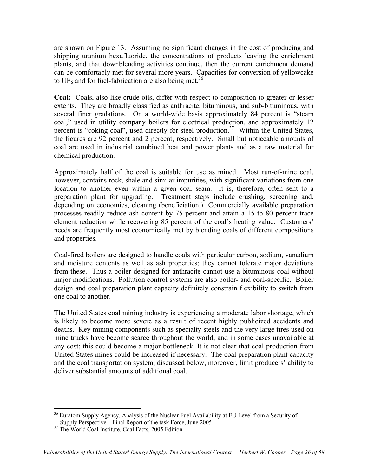are shown on Figure 13. Assuming no significant changes in the cost of producing and shipping uranium hexafluoride, the concentrations of products leaving the enrichment plants, and that downblending activities continue, then the current enrichment demand can be comfortably met for several more years. Capacities for conversion of yellowcake to UF<sub>6</sub> and for fuel-fabrication are also being met.<sup>36</sup>

**Coal:** Coals, also like crude oils, differ with respect to composition to greater or lesser extents. They are broadly classified as anthracite, bituminous, and sub-bituminous, with several finer gradations. On a world-wide basis approximately 84 percent is "steam coal," used in utility company boilers for electrical production, and approximately 12 percent is "coking coal", used directly for steel production.<sup>37</sup> Within the United States, the figures are 92 percent and 2 percent, respectively. Small but noticeable amounts of coal are used in industrial combined heat and power plants and as a raw material for chemical production.

 Approximately half of the coal is suitable for use as mined. Most run-of-mine coal, however, contains rock, shale and similar impurities, with significant variations from one location to another even within a given coal seam. It is, therefore, often sent to a preparation plant for upgrading. Treatment steps include crushing, screening and, depending on economics, cleaning (beneficiation.) Commercially available preparation processes readily reduce ash content by 75 percent and attain a 15 to 80 percent trace element reduction while recovering 85 percent of the coal's heating value. Customers' needs are frequently most economically met by blending coals of different compositions and properties.

Coal-fired boilers are designed to handle coals with particular carbon, sodium, vanadium and moisture contents as well as ash properties; they cannot tolerate major deviations from these. Thus a boiler designed for anthracite cannot use a bituminous coal without major modifications. Pollution control systems are also boiler- and coal-specific. Boiler design and coal preparation plant capacity definitely constrain flexibility to switch from one coal to another.

The United States coal mining industry is experiencing a moderate labor shortage, which is likely to become more severe as a result of recent highly publicized accidents and deaths. Key mining components such as specialty steels and the very large tires used on mine trucks have become scarce throughout the world, and in some cases unavailable at any cost; this could become a major bottleneck. It is not clear that coal production from United States mines could be increased if necessary. The coal preparation plant capacity and the coal transportation system, discussed below, moreover, limit producers' ability to deliver substantial amounts of additional coal.

 $\overline{a}$ <sup>36</sup> Euratom Supply Agency, Analysis of the Nuclear Fuel Availability at EU Level from a Security of Supply Perspective – Final Report of the task Force, June 2005

<sup>&</sup>lt;sup>37</sup> The World Coal Institute, Coal Facts, 2005 Edition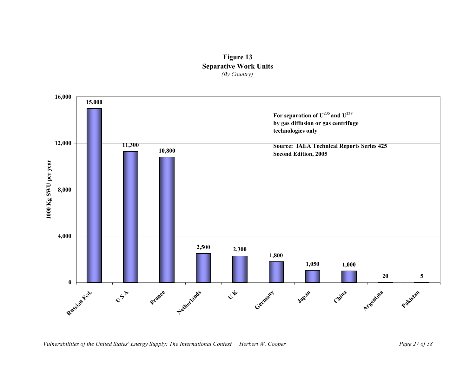![](_page_27_Figure_0.jpeg)

![](_page_27_Figure_1.jpeg)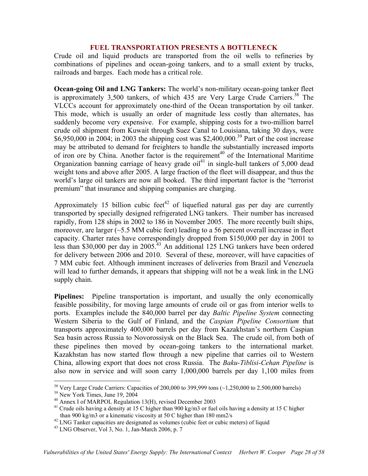## **FUEL TRANSPORTATION PRESENTS A BOTTLENECK**

Crude oil and liquid products are transported from the oil wells to refineries by combinations of pipelines and ocean-going tankers, and to a small extent by trucks, railroads and barges. Each mode has a critical role.

**Ocean-going Oil and LNG Tankers:** The world's non-military ocean-going tanker fleet is approximately  $3,500$  tankers, of which  $435$  are Very Large Crude Carriers.<sup>38</sup> The VLCCs account for approximately one-third of the Ocean transportation by oil tanker. This mode, which is usually an order of magnitude less costly than alternates, has suddenly become very expensive. For example, shipping costs for a two-million barrel crude oil shipment from Kuwait through Suez Canal to Louisiana, taking 30 days, were \$6,950,000 in 2004; in 2003 the shipping cost was \$2,400,000.<sup>39</sup> Part of the cost increase may be attributed to demand for freighters to handle the substantially increased imports of iron ore by China. Another factor is the requirement<sup>40</sup> of the International Maritime Organization banning carriage of heavy grade  $\frac{1}{2}$  in single-hull tankers of 5,000 dead weight tons and above after 2005. A large fraction of the fleet will disappear, and thus the world's large oil tankers are now all booked. The third important factor is the "terrorist premium" that insurance and shipping companies are charging.

Approximately 15 billion cubic feet<sup>42</sup> of liquefied natural gas per day are currently transported by specially designed refrigerated LNG tankers. Their number has increased rapidly, from 128 ships in 2002 to 186 in November 2005. The more recently built ships, moreover, are larger  $(\sim 5.5 \text{ MM})$  cubic feet) leading to a 56 percent overall increase in fleet capacity. Charter rates have correspondingly dropped from \$150,000 per day in 2001 to less than \$30,000 per day in 2005.<sup>43</sup> An additional 125 LNG tankers have been ordered for delivery between 2006 and 2010. Several of these, moreover, will have capacities of 7 MM cubic feet. Although imminent increases of deliveries from Brazil and Venezuela will lead to further demands, it appears that shipping will not be a weak link in the LNG supply chain.

**Pipelines:** Pipeline transportation is important, and usually the only economically feasible possibility, for moving large amounts of crude oil or gas from interior wells to ports. Examples include the 840,000 barrel per day *Baltic Pipeline System* connecting Western Siberia to the Gulf of Finland, and the *Caspian Pipeline Consortium* that transports approximately 400,000 barrels per day from Kazakhstan's northern Caspian Sea basin across Russia to Novorossiysk on the Black Sea. The crude oil, from both of these pipelines then moved by ocean-going tankers to the international market. Kazakhstan has now started flow through a new pipeline that carries oil to Western China, allowing export that does not cross Russia. The *Baku-Tiblisi-Cehan Pipeline* is also now in service and will soon carry 1,000,000 barrels per day 1,100 miles from

<sup>38</sup> Very Large Crude Carriers: Capacities of 200,000 to 399,999 tons  $(\sim 1,250,000$  to 2.500,000 barrels)

<u>.</u>

<sup>42</sup> LNG Tanker capacities are designated as volumes (cubic feet or cubic meters) of liquid  $^{43}$  LNG Observer, Vol 3, No. 1, Jan-March 2006, p. 7

<sup>&</sup>lt;sup>39</sup> New York Times, June 19, 2004<br><sup>40</sup> Annex I of MARPOL Regulation 13(H), revised December 2003

<sup>&</sup>lt;sup>41</sup> Crude oils having a density at 15 C higher than 900 kg/m3 or fuel oils having a density at 15 C higher than 900 kg/m3 or a kinematic viscosity at 50 C higher than 180 mm2/s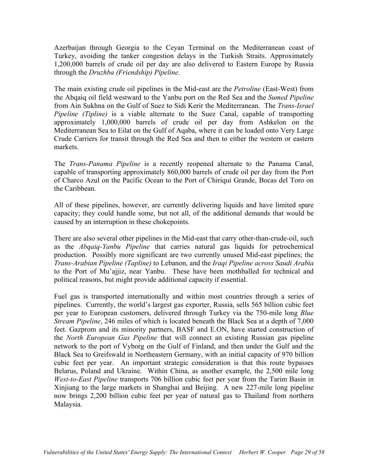Azerbaijan through Georgia to the Ceyan Terminal on the Mediterranean coast of Turkey, avoiding the tanker congestion delays in the Turkish Straits. Approximately 1,200,000 barrels of crude oil per day are also delivered to Eastern Europe by Russia through the *Druzhba (Friendship) Pipeline*.

The main existing crude oil pipelines in the Mid-east are the *Petroline* (East-West) from the Abqaiq oil field westward to the Yanbu port on the Red Sea and the *Sumed Pipeline* from Ain Sukhna on the Gulf of Suez to Sidi Kerir the Mediterranean. The *Trans-Israel Pipeline (Tipline)* is a viable alternate to the Suez Canal, capable of transporting approximately 1,000,000 barrels of crude oil per day from Ashkelon on the Mediterranean Sea to Eilat on the Gulf of Aqaba, where it can be loaded onto Very Large Crude Carriers for transit through the Red Sea and then to either the western or eastern markets.

The *Trans-Panama Pipeline* is a recently reopened alternate to the Panama Canal, capable of transporting approximately 860,000 barrels of crude oil per day from the Port of Charco Azul on the Pacific Ocean to the Port of Chiriqui Grande, Bocas del Toro on the Caribbean.

All of these pipelines, however, are currently delivering liquids and have limited spare capacity; they could handle some, but not all, of the additional demands that would be caused by an interruption in these chokepoints.

There are also several other pipelines in the Mid-east that carry other-than-crude-oil, such as the *Abqaiq-Yanbu Pipeline* that carries natural gas liquids for petrochemical production. Possibly more significant are two currently unused Mid-east pipelines; the *Trans-Arabian Pipeline (Tapline)* to Lebanon, and the *Iraqi Pipeline across Saudi Arabia* to the Port of Mu'ajjiz, near Yanbu. These have been mothballed for technical and political reasons, but might provide additional capacity if essential.

Fuel gas is transported internationally and within most countries through a series of pipelines. Currently, the world's largest gas exporter, Russia, sells 565 billion cubic feet per year to European customers, delivered through Turkey via the 750-mile long *Blue Stream Pipeline*, 246 miles of which is located beneath the Black Sea at a depth of 7,000 feet. Gazprom and its minority partners, BASF and E.ON, have started construction of the *North European Gas Pipeline* that will connect an existing Russian gas pipeline network to the port of Vyborg on the Gulf of Finland, and then under the Gulf and the Black Sea to Greifswald in Northeastern Germany, with an initial capacity of 970 billion cubic feet per year. An important strategic consideration is that this route bypasses Belarus, Poland and Ukraine. Within China, as another example, the 2,500 mile long *West-to-East Pipeline* transports 706 billion cubic feet per year from the Tarim Basin in Xinjiang to the large markets in Shanghai and Beijing. A new 227-mile long pipeline now brings 2,200 billion cubic feet per year of natural gas to Thailand from northern Malaysia.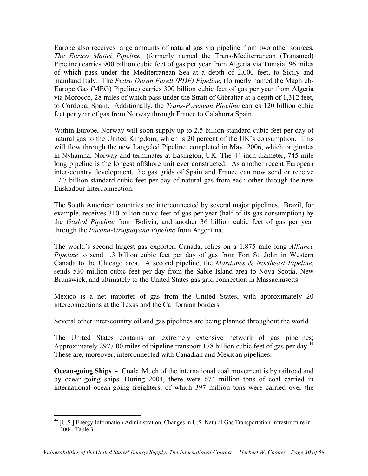Europe also receives large amounts of natural gas via pipeline from two other sources. *The Enrico Mattei Pipeline*, (formerly named the Trans-Mediterranean (Transmed) Pipeline) carries 900 billion cubic feet of gas per year from Algeria via Tunisia, 96 miles of which pass under the Mediterranean Sea at a depth of 2,000 feet, to Sicily and mainland Italy. The *Pedro Duran Farell (PDF) Pipeline*, (formerly named the Maghreb-Europe Gas (MEG) Pipeline) carries 300 billion cubic feet of gas per year from Algeria via Morocco, 28 miles of which pass under the Strait of Gibraltar at a depth of 1,312 feet, to Cordoba, Spain. Additionally, the *Trans-Pyrenean Pipeline* carries 120 billion cubic feet per year of gas from Norway through France to Calahorra Spain.

Within Europe, Norway will soon supply up to 2.5 billion standard cubic feet per day of natural gas to the United Kingdom, which is 20 percent of the UK's consumption. This will flow through the new Langeled Pipeline, completed in May, 2006, which originates in Nyhamna, Norway and terminates at Easington, UK. The 44-inch diameter, 745 mile long pipeline is the longest offshore unit ever constructed. As another recent European inter-country development, the gas grids of Spain and France can now send or receive 17.7 billion standard cubic feet per day of natural gas from each other through the new Euskadour Interconnection.

The South American countries are interconnected by several major pipelines. Brazil, for example, receives 310 billion cubic feet of gas per year (half of its gas consumption) by the *Gasbol Pipeline* from Bolivia, and another 36 billion cubic feet of gas per year through the *Parana-Uruguayana Pipeline* from Argentina.

The world's second largest gas exporter, Canada, relies on a 1,875 mile long *Alliance Pipeline* to send 1.3 billion cubic feet per day of gas from Fort St. John in Western Canada to the Chicago area. A second pipeline, the *Maritimes & Northeast Pipeline*, sends 530 million cubic feet per day from the Sable Island area to Nova Scotia, New Brunswick, and ultimately to the United States gas grid connection in Massachusetts.

Mexico is a net importer of gas from the United States, with approximately 20 interconnections at the Texas and the Californian borders.

Several other inter-country oil and gas pipelines are being planned throughout the world.

The United States contains an extremely extensive network of gas pipelines; Approximately 297,000 miles of pipeline transport 178 billion cubic feet of gas per day.<sup>44</sup> These are, moreover, interconnected with Canadian and Mexican pipelines.

**Ocean-going Ships - Coal:** Much of the international coal movement is by railroad and by ocean-going ships. During 2004, there were 674 million tons of coal carried in international ocean-going freighters, of which 397 million tons were carried over the

<sup>1</sup> <sup>44</sup> [U.S.] Energy Information Administration, Changes in U.S. Natural Gas Transportation Infrastructure in 2004, Table 3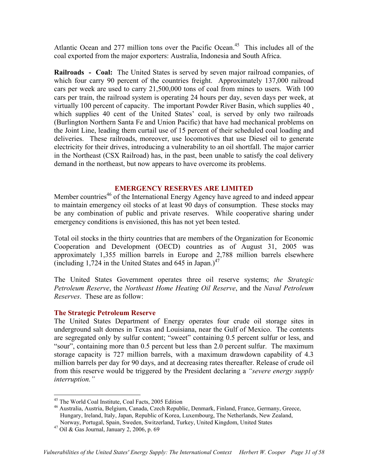Atlantic Ocean and 277 million tons over the Pacific Ocean.<sup>45</sup> This includes all of the coal exported from the major exporters: Australia, Indonesia and South Africa.

**Railroads - Coal:** The United States is served by seven major railroad companies, of which four carry 90 percent of the countries freight. Approximately 137,000 railroad cars per week are used to carry 21,500,000 tons of coal from mines to users. With 100 cars per train, the railroad system is operating 24 hours per day, seven days per week, at virtually 100 percent of capacity. The important Powder River Basin, which supplies 40 , which supplies 40 cent of the United States' coal, is served by only two railroads (Burlington Northern Santa Fe and Union Pacific) that have had mechanical problems on the Joint Line, leading them curtail use of 15 percent of their scheduled coal loading and deliveries. These railroads, moreover, use locomotives that use Diesel oil to generate electricity for their drives, introducing a vulnerability to an oil shortfall. The major carrier in the Northeast (CSX Railroad) has, in the past, been unable to satisfy the coal delivery demand in the northeast, but now appears to have overcome its problems.

# **EMERGENCY RESERVES ARE LIMITED**

Member countries<sup>46</sup> of the International Energy Agency have agreed to and indeed appear to maintain emergency oil stocks of at least 90 days of consumption. These stocks may be any combination of public and private reserves. While cooperative sharing under emergency conditions is envisioned, this has not yet been tested.

Total oil stocks in the thirty countries that are members of the Organization for Economic Cooperation and Development (OECD) countries as of August 31, 2005 was approximately 1,355 million barrels in Europe and 2,788 million barrels elsewhere (including 1,724 in the United States and 645 in Japan.)<sup>47</sup>

The United States Government operates three oil reserve systems; *the Strategic Petroleum Reserve*, the *Northeast Home Heating Oil Reserve*, and the *Naval Petroleum Reserves*. These are as follow:

### **The Strategic Petroleum Reserve**

The United States Department of Energy operates four crude oil storage sites in underground salt domes in Texas and Louisiana, near the Gulf of Mexico. The contents are segregated only by sulfur content; "sweet" containing 0.5 percent sulfur or less, and "sour", containing more than 0.5 percent but less than 2.0 percent sulfur. The maximum storage capacity is 727 million barrels, with a maximum drawdown capability of 4.3 million barrels per day for 90 days, and at decreasing rates thereafter. Release of crude oil from this reserve would be triggered by the President declaring a *"severe energy supply interruption."* 

1

<sup>45</sup> The World Coal Institute, Coal Facts, 2005 Edition

<sup>46</sup> Australia, Austria, Belgium, Canada, Czech Republic, Denmark, Finland, France, Germany, Greece, Hungary, Ireland, Italy, Japan, Republic of Korea, Luxembourg, The Netherlands, New Zealand, Norway, Portugal, Spain, Sweden, Switzerland, Turkey, United Kingdom, United States

<sup>47</sup> Oil & Gas Journal, January 2, 2006, p. 69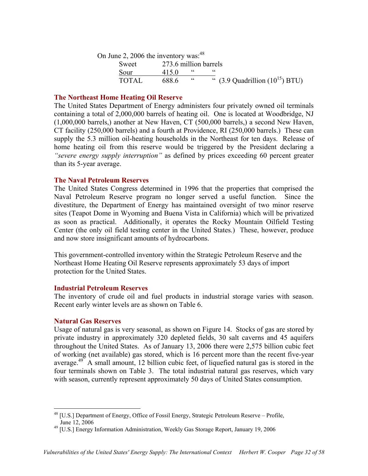| On June 2, 2006 the inventory was: $48$ |                       |            |                                                      |
|-----------------------------------------|-----------------------|------------|------------------------------------------------------|
| Sweet                                   | 273.6 million barrels |            |                                                      |
| Sour                                    | 4150                  | $\epsilon$ | <b>"</b>                                             |
| <b>TOTAL</b>                            | 688.6                 | $\epsilon$ | " $(3.9 \text{ Quadrillion } (10^{15}) \text{ BTU})$ |

## **The Northeast Home Heating Oil Reserve**

The United States Department of Energy administers four privately owned oil terminals containing a total of 2,000,000 barrels of heating oil. One is located at Woodbridge, NJ (1,000,000 barrels,) another at New Haven, CT (500,000 barrels,) a second New Haven, CT facility (250,000 barrels) and a fourth at Providence, RI (250,000 barrels.) These can supply the 5.3 million oil-heating households in the Northeast for ten days. Release of home heating oil from this reserve would be triggered by the President declaring a *"severe energy supply interruption"* as defined by prices exceeding 60 percent greater than its 5-year average.

## **The Naval Petroleum Reserves**

The United States Congress determined in 1996 that the properties that comprised the Naval Petroleum Reserve program no longer served a useful function. Since the divestiture, the Department of Energy has maintained oversight of two minor reserve sites (Teapot Dome in Wyoming and Buena Vista in California) which will be privatized as soon as practical. Additionally, it operates the Rocky Mountain Oilfield Testing Center (the only oil field testing center in the United States.) These, however, produce and now store insignificant amounts of hydrocarbons.

This government-controlled inventory within the Strategic Petroleum Reserve and the Northeast Home Heating Oil Reserve represents approximately 53 days of import protection for the United States.

### **Industrial Petroleum Reserves**

The inventory of crude oil and fuel products in industrial storage varies with season. Recent early winter levels are as shown on Table 6.

### **Natural Gas Reserves**

Usage of natural gas is very seasonal, as shown on Figure 14. Stocks of gas are stored by private industry in approximately 320 depleted fields, 30 salt caverns and 45 aquifers throughout the United States. As of January 13, 2006 there were 2,575 billion cubic feet of working (net available) gas stored, which is 16 percent more than the recent five-year average.<sup>49</sup> A small amount, 12 billion cubic feet, of liquefied natural gas is stored in the four terminals shown on Table 3. The total industrial natural gas reserves, which vary with season, currently represent approximately 50 days of United States consumption.

 $\overline{a}$ <sup>48</sup> [U.S.] Department of Energy, Office of Fossil Energy, Strategic Petroleum Reserve – Profile, June 12, 2006

<sup>49 [</sup>U.S.] Energy Information Administration, Weekly Gas Storage Report, January 19, 2006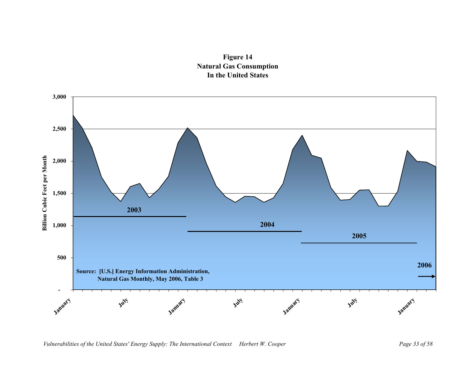![](_page_33_Figure_0.jpeg)

![](_page_33_Figure_1.jpeg)

*Vulnerabilities of the United States' Energy Supply: The International Context Herbert W. Cooper Page 33 of 58*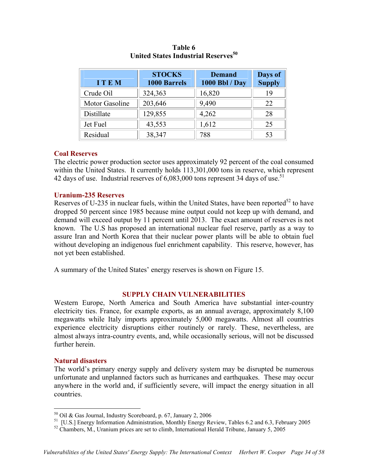| <b>ITEM</b>    | <b>STOCKS</b><br><b>1000 Barrels</b> | <b>Demand</b><br>1000 Bbl / Day | Days of<br><b>Supply</b> |
|----------------|--------------------------------------|---------------------------------|--------------------------|
| Crude Oil      | 324,363                              | 16,820                          | 19                       |
| Motor Gasoline | 203,646                              | 9,490                           | 22                       |
| Distillate     | 129,855                              | 4,262                           | 28                       |
| Jet Fuel       | 43,553                               | 1,612                           | 25                       |
| Residual       | 38,347                               | 788                             | 53                       |

**Table 6 United States Industrial Reserves**<sup>50</sup>

## **Coal Reserves**

The electric power production sector uses approximately 92 percent of the coal consumed within the United States. It currently holds  $113,301,000$  tons in reserve, which represent 42 days of use. Industrial reserves of  $6,083,000$  tons represent 34 days of use.<sup>51</sup>

## **Uranium-235 Reserves**

Reserves of U-235 in nuclear fuels, within the United States, have been reported<sup>52</sup> to have dropped 50 percent since 1985 because mine output could not keep up with demand, and demand will exceed output by 11 percent until 2013. The exact amount of reserves is not known. The U.S has proposed an international nuclear fuel reserve, partly as a way to assure Iran and North Korea that their nuclear power plants will be able to obtain fuel without developing an indigenous fuel enrichment capability. This reserve, however, has not yet been established.

A summary of the United States' energy reserves is shown on Figure 15.

## **SUPPLY CHAIN VULNERABILITIES**

Western Europe, North America and South America have substantial inter-country electricity ties. France, for example exports, as an annual average, approximately 8,100 megawatts while Italy imports approximately 5,000 megawatts. Almost all countries experience electricity disruptions either routinely or rarely. These, nevertheless, are almost always intra-country events, and, while occasionally serious, will not be discussed further herein.

### **Natural disasters**

1

The world's primary energy supply and delivery system may be disrupted be numerous unfortunate and unplanned factors such as hurricanes and earthquakes. These may occur anywhere in the world and, if sufficiently severe, will impact the energy situation in all countries.

 $50$  Oil & Gas Journal, Industry Scoreboard, p. 67, January 2, 2006

<sup>51 [</sup>U.S.] Energy Information Administration, Monthly Energy Review, Tables 6.2 and 6.3, February 2005

<sup>&</sup>lt;sup>52</sup> Chambers, M., Uranium prices are set to climb, International Herald Tribune, January 5, 2005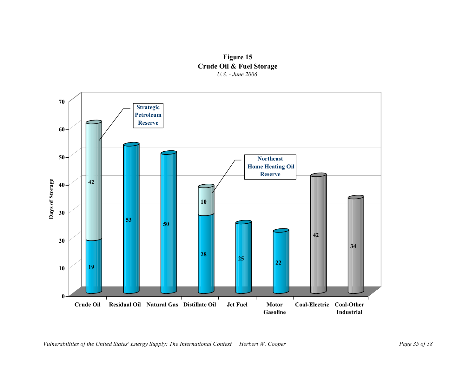![](_page_35_Figure_0.jpeg)

![](_page_35_Figure_1.jpeg)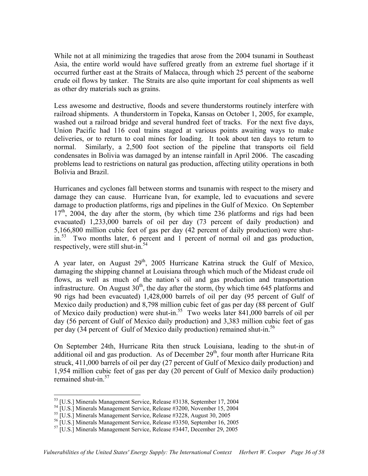While not at all minimizing the tragedies that arose from the 2004 tsunami in Southeast Asia, the entire world would have suffered greatly from an extreme fuel shortage if it occurred further east at the Straits of Malacca, through which 25 percent of the seaborne crude oil flows by tanker. The Straits are also quite important for coal shipments as well as other dry materials such as grains.

Less awesome and destructive, floods and severe thunderstorms routinely interfere with railroad shipments. A thunderstorm in Topeka, Kansas on October 1, 2005, for example, washed out a railroad bridge and several hundred feet of tracks. For the next five days, Union Pacific had 116 coal trains staged at various points awaiting ways to make deliveries, or to return to coal mines for loading. It took about ten days to return to normal. Similarly, a 2,500 foot section of the pipeline that transports oil field condensates in Bolivia was damaged by an intense rainfall in April 2006. The cascading problems lead to restrictions on natural gas production, affecting utility operations in both Bolivia and Brazil.

Hurricanes and cyclones fall between storms and tsunamis with respect to the misery and damage they can cause. Hurricane Ivan, for example, led to evacuations and severe damage to production platforms, rigs and pipelines in the Gulf of Mexico. On September  $17<sup>th</sup>$ , 2004, the day after the storm, (by which time 236 platforms and rigs had been evacuated) 1,233,000 barrels of oil per day (73 percent of daily production) and 5,166,800 million cubic feet of gas per day (42 percent of daily production) were shutin.<sup>53</sup> Two months later, 6 percent and 1 percent of normal oil and gas production, respectively, were still shut-in.<sup>54</sup>

A year later, on August  $29<sup>th</sup>$ , 2005 Hurricane Katrina struck the Gulf of Mexico, damaging the shipping channel at Louisiana through which much of the Mideast crude oil flows, as well as much of the nation's oil and gas production and transportation infrastructure. On August  $30<sup>th</sup>$ , the day after the storm, (by which time 645 platforms and 90 rigs had been evacuated) 1,428,000 barrels of oil per day (95 percent of Gulf of Mexico daily production) and 8,798 million cubic feet of gas per day (88 percent of Gulf of Mexico daily production) were shut-in.55 Two weeks later 841,000 barrels of oil per day (56 percent of Gulf of Mexico daily production) and 3,383 million cubic feet of gas per day (34 percent of Gulf of Mexico daily production) remained shut-in.<sup>56</sup>

On September 24th, Hurricane Rita then struck Louisiana, leading to the shut-in of additional oil and gas production. As of December  $29<sup>th</sup>$ , four month after Hurricane Rita struck, 411,000 barrels of oil per day (27 percent of Gulf of Mexico daily production) and 1,954 million cubic feet of gas per day (20 percent of Gulf of Mexico daily production) remained shut-in.<sup>57</sup>

1

<sup>53 [</sup>U.S.] Minerals Management Service, Release #3138, September 17, 2004

<sup>&</sup>lt;sup>54</sup> [U.S.] Minerals Management Service, Release #3200, November 15, 2004

<sup>55 [</sup>U.S.] Minerals Management Service, Release #3228, August 30, 2005

<sup>56 [</sup>U.S.] Minerals Management Service, Release #3350, September 16, 2005

<sup>57 [</sup>U.S.] Minerals Management Service, Release #3447, December 29, 2005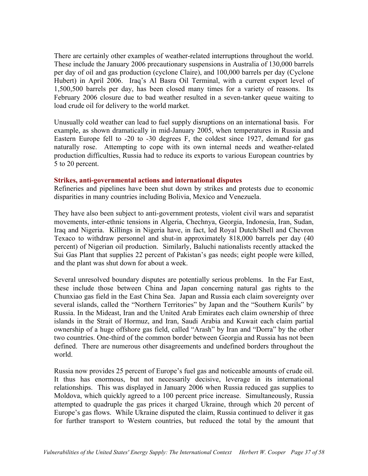There are certainly other examples of weather-related interruptions throughout the world. These include the January 2006 precautionary suspensions in Australia of 130,000 barrels per day of oil and gas production (cyclone Claire), and 100,000 barrels per day (Cyclone Hubert) in April 2006. Iraq's Al Basra Oil Terminal, with a current export level of 1,500,500 barrels per day, has been closed many times for a variety of reasons. Its February 2006 closure due to bad weather resulted in a seven-tanker queue waiting to load crude oil for delivery to the world market.

Unusually cold weather can lead to fuel supply disruptions on an international basis. For example, as shown dramatically in mid-January 2005, when temperatures in Russia and Eastern Europe fell to -20 to -30 degrees F, the coldest since 1927, demand for gas naturally rose. Attempting to cope with its own internal needs and weather-related production difficulties, Russia had to reduce its exports to various European countries by 5 to 20 percent.

## **Strikes, anti-governmental actions and international disputes**

Refineries and pipelines have been shut down by strikes and protests due to economic disparities in many countries including Bolivia, Mexico and Venezuela.

They have also been subject to anti-government protests, violent civil wars and separatist movements, inter-ethnic tensions in Algeria, Chechnya, Georgia, Indonesia, Iran, Sudan, Iraq and Nigeria. Killings in Nigeria have, in fact, led Royal Dutch/Shell and Chevron Texaco to withdraw personnel and shut-in approximately 818,000 barrels per day (40 percent) of Nigerian oil production. Similarly, Baluchi nationalists recently attacked the Sui Gas Plant that supplies 22 percent of Pakistan's gas needs; eight people were killed, and the plant was shut down for about a week.

Several unresolved boundary disputes are potentially serious problems. In the Far East, these include those between China and Japan concerning natural gas rights to the Chunxiao gas field in the East China Sea. Japan and Russia each claim sovereignty over several islands, called the "Northern Territories" by Japan and the "Southern Kurils" by Russia. In the Mideast, Iran and the United Arab Emirates each claim ownership of three islands in the Strait of Hormuz, and Iran, Saudi Arabia and Kuwait each claim partial ownership of a huge offshore gas field, called "Arash" by Iran and "Dorra" by the other two countries. One-third of the common border between Georgia and Russia has not been defined. There are numerous other disagreements and undefined borders throughout the world.

Russia now provides 25 percent of Europe's fuel gas and noticeable amounts of crude oil. It thus has enormous, but not necessarily decisive, leverage in its international relationships. This was displayed in January 2006 when Russia reduced gas supplies to Moldova, which quickly agreed to a 100 percent price increase. Simultaneously, Russia attempted to quadruple the gas prices it charged Ukraine, through which 20 percent of Europe's gas flows. While Ukraine disputed the claim, Russia continued to deliver it gas for further transport to Western countries, but reduced the total by the amount that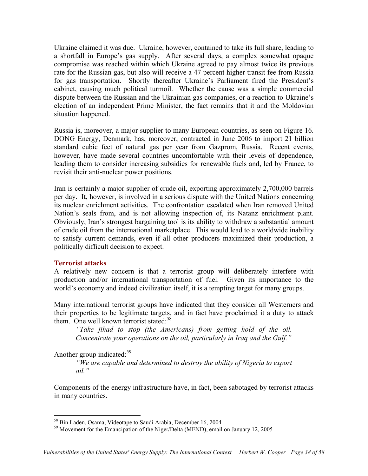Ukraine claimed it was due. Ukraine, however, contained to take its full share, leading to a shortfall in Europe's gas supply. After several days, a complex somewhat opaque compromise was reached within which Ukraine agreed to pay almost twice its previous rate for the Russian gas, but also will receive a 47 percent higher transit fee from Russia for gas transportation. Shortly thereafter Ukraine's Parliament fired the President's cabinet, causing much political turmoil. Whether the cause was a simple commercial dispute between the Russian and the Ukrainian gas companies, or a reaction to Ukraine's election of an independent Prime Minister, the fact remains that it and the Moldovian situation happened.

Russia is, moreover, a major supplier to many European countries, as seen on Figure 16. DONG Energy, Denmark, has, moreover, contracted in June 2006 to import 21 billion standard cubic feet of natural gas per year from Gazprom, Russia. Recent events, however, have made several countries uncomfortable with their levels of dependence, leading them to consider increasing subsidies for renewable fuels and, led by France, to revisit their anti-nuclear power positions.

Iran is certainly a major supplier of crude oil, exporting approximately 2,700,000 barrels per day. It, however, is involved in a serious dispute with the United Nations concerning its nuclear enrichment activities. The confrontation escalated when Iran removed United Nation's seals from, and is not allowing inspection of, its Natanz enrichment plant. Obviously, Iran's strongest bargaining tool is its ability to withdraw a substantial amount of crude oil from the international marketplace. This would lead to a worldwide inability to satisfy current demands, even if all other producers maximized their production, a politically difficult decision to expect.

## **Terrorist attacks**

A relatively new concern is that a terrorist group will deliberately interfere with production and/or international transportation of fuel. Given its importance to the world's economy and indeed civilization itself, it is a tempting target for many groups.

Many international terrorist groups have indicated that they consider all Westerners and their properties to be legitimate targets, and in fact have proclaimed it a duty to attack them. One well known terrorist stated:<sup>58</sup>

*"Take jihad to stop (the Americans) from getting hold of the oil. Concentrate your operations on the oil, particularly in Iraq and the Gulf."* 

Another group indicated: $59$ 

1

*"We are capable and determined to destroy the ability of Nigeria to export oil."* 

Components of the energy infrastructure have, in fact, been sabotaged by terrorist attacks in many countries.

<sup>58</sup> Bin Laden, Osama, Videotape to Saudi Arabia, December 16, 2004

<sup>59</sup> Movement for the Emancipation of the Niger/Delta (MEND), email on January 12, 2005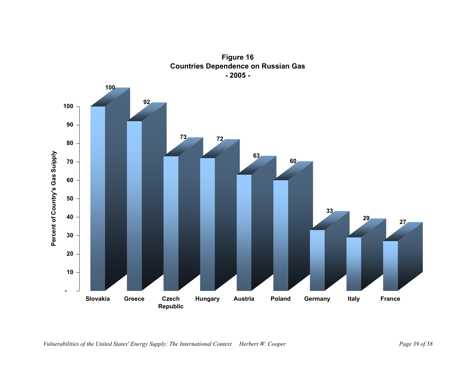![](_page_39_Figure_0.jpeg)

**Figure 16 Countries Dependence on Russian Gas - 2005 -**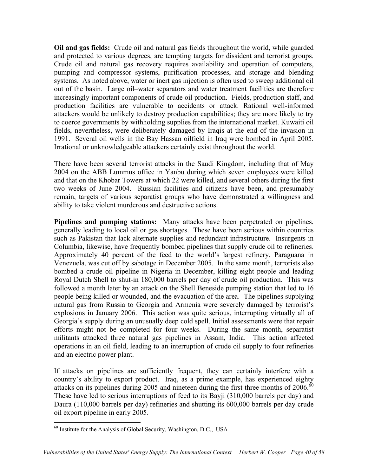**Oil and gas fields:** Crude oil and natural gas fields throughout the world, while guarded and protected to various degrees, are tempting targets for dissident and terrorist groups. Crude oil and natural gas recovery requires availability and operation of computers, pumping and compressor systems, purification processes, and storage and blending systems. As noted above, water or inert gas injection is often used to sweep additional oil out of the basin. Large oil–water separators and water treatment facilities are therefore increasingly important components of crude oil production. Fields, production staff, and production facilities are vulnerable to accidents or attack. Rational well-informed attackers would be unlikely to destroy production capabilities; they are more likely to try to coerce governments by withholding supplies from the international market. Kuwaiti oil fields, nevertheless, were deliberately damaged by Iraqis at the end of the invasion in 1991. Several oil wells in the Bay Hassan oilfield in Iraq were bombed in April 2005. Irrational or unknowledgeable attackers certainly exist throughout the world.

There have been several terrorist attacks in the Saudi Kingdom, including that of May 2004 on the ABB Lummus office in Yanbu during which seven employees were killed and that on the Khobar Towers at which 22 were killed, and several others during the first two weeks of June 2004. Russian facilities and citizens have been, and presumably remain, targets of various separatist groups who have demonstrated a willingness and ability to take violent murderous and destructive actions.

**Pipelines and pumping stations:** Many attacks have been perpetrated on pipelines, generally leading to local oil or gas shortages. These have been serious within countries such as Pakistan that lack alternate supplies and redundant infrastructure. Insurgents in Columbia, likewise, have frequently bombed pipelines that supply crude oil to refineries. Approximately 40 percent of the feed to the world's largest refinery, Paraguana in Venezuela, was cut off by sabotage in December 2005. In the same month, terrorists also bombed a crude oil pipeline in Nigeria in December, killing eight people and leading Royal Dutch Shell to shut-in 180,000 barrels per day of crude oil production. This was followed a month later by an attack on the Shell Beneside pumping station that led to 16 people being killed or wounded, and the evacuation of the area. The pipelines supplying natural gas from Russia to Georgia and Armenia were severely damaged by terrorist's explosions in January 2006. This action was quite serious, interrupting virtually all of Georgia's supply during an unusually deep cold spell. Initial assessments were that repair efforts might not be completed for four weeks. During the same month, separatist militants attacked three natural gas pipelines in Assam, India. This action affected operations in an oil field, leading to an interruption of crude oil supply to four refineries and an electric power plant.

If attacks on pipelines are sufficiently frequent, they can certainly interfere with a country's ability to export product. Iraq, as a prime example, has experienced eighty attacks on its pipelines during 2005 and nineteen during the first three months of  $2006$ .<sup>60</sup> These have led to serious interruptions of feed to its Bayji (310,000 barrels per day) and Daura (110,000 barrels per day) refineries and shutting its 600,000 barrels per day crude oil export pipeline in early 2005.

<sup>&</sup>lt;u>.</u>  $60$  Institute for the Analysis of Global Security, Washington, D.C., USA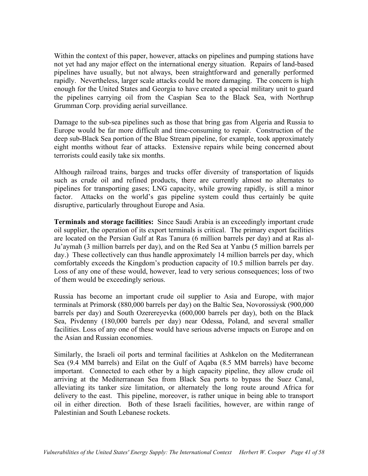Within the context of this paper, however, attacks on pipelines and pumping stations have not yet had any major effect on the international energy situation. Repairs of land-based pipelines have usually, but not always, been straightforward and generally performed rapidly. Nevertheless, larger scale attacks could be more damaging. The concern is high enough for the United States and Georgia to have created a special military unit to guard the pipelines carrying oil from the Caspian Sea to the Black Sea, with Northrup Grumman Corp. providing aerial surveillance.

Damage to the sub-sea pipelines such as those that bring gas from Algeria and Russia to Europe would be far more difficult and time-consuming to repair. Construction of the deep sub-Black Sea portion of the Blue Stream pipeline, for example, took approximately eight months without fear of attacks. Extensive repairs while being concerned about terrorists could easily take six months.

Although railroad trains, barges and trucks offer diversity of transportation of liquids such as crude oil and refined products, there are currently almost no alternates to pipelines for transporting gases; LNG capacity, while growing rapidly, is still a minor factor. Attacks on the world's gas pipeline system could thus certainly be quite disruptive, particularly throughout Europe and Asia.

**Terminals and storage facilities:** Since Saudi Arabia is an exceedingly important crude oil supplier, the operation of its export terminals is critical. The primary export facilities are located on the Persian Gulf at Ras Tanura (6 million barrels per day) and at Ras al-Ju'aymah (3 million barrels per day), and on the Red Sea at Yanbu (5 million barrels per day.) These collectively can thus handle approximately 14 million barrels per day, which comfortably exceeds the Kingdom's production capacity of 10.5 million barrels per day. Loss of any one of these would, however, lead to very serious consequences; loss of two of them would be exceedingly serious.

Russia has become an important crude oil supplier to Asia and Europe, with major terminals at Primorsk (880,000 barrels per day) on the Baltic Sea, Novorossiysk (900,000 barrels per day) and South Ozerereyevka (600,000 barrels per day), both on the Black Sea, Pivdenny (180,000 barrels per day) near Odessa, Poland, and several smaller facilities. Loss of any one of these would have serious adverse impacts on Europe and on the Asian and Russian economies.

Similarly, the Israeli oil ports and terminal facilities at Ashkelon on the Mediterranean Sea (9.4 MM barrels) and Eilat on the Gulf of Aqaba (8.5 MM barrels) have become important. Connected to each other by a high capacity pipeline, they allow crude oil arriving at the Mediterranean Sea from Black Sea ports to bypass the Suez Canal, alleviating its tanker size limitation, or alternately the long route around Africa for delivery to the east. This pipeline, moreover, is rather unique in being able to transport oil in either direction. Both of these Israeli facilities, however, are within range of Palestinian and South Lebanese rockets.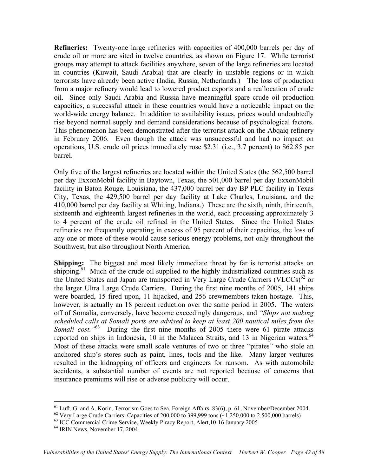**Refineries:** Twenty-one large refineries with capacities of 400,000 barrels per day of crude oil or more are sited in twelve countries, as shown on Figure 17. While terrorist groups may attempt to attack facilities anywhere, seven of the large refineries are located in countries (Kuwait, Saudi Arabia) that are clearly in unstable regions or in which terrorists have already been active (India, Russia, Netherlands.) The loss of production from a major refinery would lead to lowered product exports and a reallocation of crude oil. Since only Saudi Arabia and Russia have meaningful spare crude oil production capacities, a successful attack in these countries would have a noticeable impact on the world-wide energy balance. In addition to availability issues, prices would undoubtedly rise beyond normal supply and demand considerations because of psychological factors. This phenomenon has been demonstrated after the terrorist attack on the Abqaiq refinery in February 2006. Even though the attack was unsuccessful and had no impact on operations, U.S. crude oil prices immediately rose \$2.31 (i.e., 3.7 percent) to \$62.85 per barrel.

Only five of the largest refineries are located within the United States (the 562,500 barrel per day ExxonMobil facility in Baytown, Texas, the 501,000 barrel per day ExxonMobil facility in Baton Rouge, Louisiana, the 437,000 barrel per day BP PLC facility in Texas City, Texas, the 429,500 barrel per day facility at Lake Charles, Louisiana, and the 410,000 barrel per day facility at Whiting, Indiana.) These are the sixth, ninth, thirteenth, sixteenth and eighteenth largest refineries in the world, each processing approximately 3 to 4 percent of the crude oil refined in the United States. Since the United States refineries are frequently operating in excess of 95 percent of their capacities, the loss of any one or more of these would cause serious energy problems, not only throughout the Southwest, but also throughout North America.

**Shipping:** The biggest and most likely immediate threat by far is terrorist attacks on shipping.<sup>61</sup> Much of the crude oil supplied to the highly industrialized countries such as the United States and Japan are transported in Very Large Crude Carriers (VLCCs)<sup>62</sup> or the larger Ultra Large Crude Carriers. During the first nine months of 2005, 141 ships were boarded, 15 fired upon, 11 hijacked, and 256 crewmembers taken hostage. This, however, is actually an 18 percent reduction over the same period in 2005. The waters off of Somalia, conversely, have become exceedingly dangerous, and *"Ships not making scheduled calls at Somali ports are advised to keep at least 200 nautical miles from the Somali cost."*63 During the first nine months of 2005 there were 61 pirate attacks reported on ships in Indonesia, 10 in the Malacca Straits, and 13 in Nigerian waters.<sup>64</sup> Most of these attacks were small scale ventures of two or three "pirates" who stole an anchored ship's stores such as paint, lines, tools and the like. Many larger ventures resulted in the kidnapping of officers and engineers for ransom. As with automobile accidents, a substantial number of events are not reported because of concerns that insurance premiums will rise or adverse publicity will occur.

<sup>&</sup>lt;sup>61</sup> Luft, G. and A. Korin, Terrorism Goes to Sea, Foreign Affairs, 83(6), p. 61, November/December 2004

<sup>&</sup>lt;sup>62</sup> Very Large Crude Carriers: Capacities of 200,000 to 399,999 tons ( $\sim$ 1,250,000 to 2,500,000 barrels)

 $^{63}$  ICC Commercial Crime Service, Weekly Piracy Report, Alert, 10-16 January 2005<br> $^{64}$  IRIN News, November 17, 2004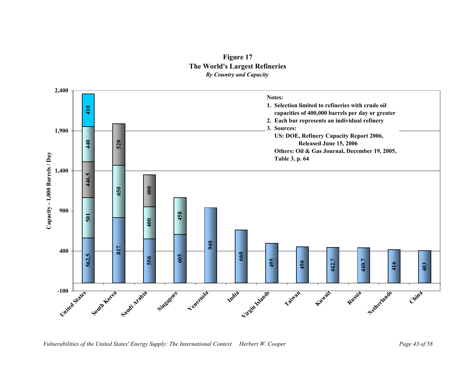![](_page_43_Figure_0.jpeg)

![](_page_43_Figure_1.jpeg)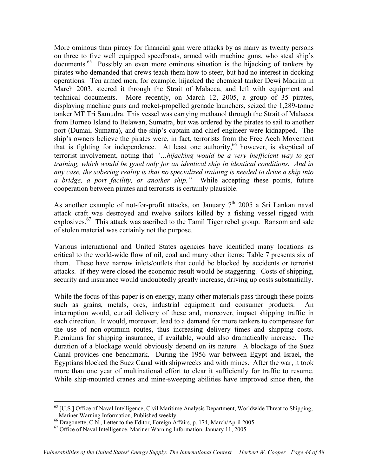More ominous than piracy for financial gain were attacks by as many as twenty persons on three to five well equipped speedboats, armed with machine guns, who steal ship's documents.<sup>65</sup> Possibly an even more ominous situation is the hijacking of tankers by pirates who demanded that crews teach them how to steer, but had no interest in docking operations. Ten armed men, for example, hijacked the chemical tanker Dewi Madrim in March 2003, steered it through the Strait of Malacca, and left with equipment and technical documents. More recently, on March 12, 2005, a group of 35 pirates, displaying machine guns and rocket-propelled grenade launchers, seized the 1,289-tonne tanker MT Tri Samudra. This vessel was carrying methanol through the Strait of Malacca from Borneo Island to Belawan, Sumatra, but was ordered by the pirates to sail to another port (Dumai, Sumatra), and the ship's captain and chief engineer were kidnapped. The ship's owners believe the pirates were, in fact, terrorists from the Free Aceh Movement that is fighting for independence. At least one authority,<sup>66</sup> however, is skeptical of terrorist involvement, noting that *"…hijacking would be a very inefficient way to get training, which would be good only for an identical ship in identical conditions. And in any case, the sobering reality is that no specialized training is needed to drive a ship into a bridge, a port facility, or another ship."* While accepting these points, future cooperation between pirates and terrorists is certainly plausible.

As another example of not-for-profit attacks, on January  $7<sup>th</sup>$  2005 a Sri Lankan naval attack craft was destroyed and twelve sailors killed by a fishing vessel rigged with explosives.<sup>67</sup> This attack was ascribed to the Tamil Tiger rebel group. Ransom and sale of stolen material was certainly not the purpose.

Various international and United States agencies have identified many locations as critical to the world-wide flow of oil, coal and many other items; Table 7 presents six of them. These have narrow inlets/outlets that could be blocked by accidents or terrorist attacks. If they were closed the economic result would be staggering. Costs of shipping, security and insurance would undoubtedly greatly increase, driving up costs substantially.

While the focus of this paper is on energy, many other materials pass through these points such as grains, metals, ores, industrial equipment and consumer products. An interruption would, curtail delivery of these and, moreover, impact shipping traffic in each direction. It would, moreover, lead to a demand for more tankers to compensate for the use of non-optimum routes, thus increasing delivery times and shipping costs. Premiums for shipping insurance, if available, would also dramatically increase. The duration of a blockage would obviously depend on its nature. A blockage of the Suez Canal provides one benchmark. During the 1956 war between Egypt and Israel, the Egyptians blocked the Suez Canal with shipwrecks and with mines. After the war, it took more than one year of multinational effort to clear it sufficiently for traffic to resume. While ship-mounted cranes and mine-sweeping abilities have improved since then, the

<u>.</u>

 $^{65}$  [U.S.] Office of Naval Intelligence, Civil Maritime Analysis Department, Worldwide Threat to Shipping, Mariner Warning Information, Published weekly

<sup>&</sup>lt;sup>66</sup> Dragonette, C.N., Letter to the Editor, Foreign Affairs, p. 174, March/April 2005<br><sup>67</sup> Office of Naval Intelligence, Mariner Warning Information, January 11, 2005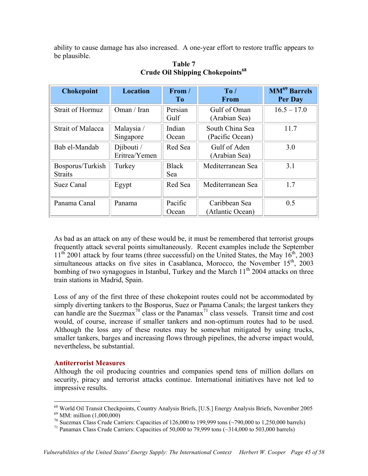ability to cause damage has also increased. A one-year effort to restore traffic appears to be plausible.

| <b>Chokepoint</b>                  | <b>Location</b>             | From /<br>T <sub>0</sub> | To/<br><b>From</b>                 | <b>MM<sup>69</sup> Barrels</b><br>Per Day |
|------------------------------------|-----------------------------|--------------------------|------------------------------------|-------------------------------------------|
| <b>Strait of Hormuz</b>            | Oman / Iran                 | Persian<br>Gulf          | Gulf of Oman<br>(Arabian Sea)      | $16.5 - 17.0$                             |
| <b>Strait of Malacca</b>           | Malaysia /<br>Singapore     | Indian<br>Ocean          | South China Sea<br>(Pacific Ocean) | 11.7                                      |
| Bab el-Mandab                      | Djibouti /<br>Eritrea/Yemen | Red Sea                  | Gulf of Aden<br>(Arabian Sea)      | 3.0                                       |
| Bosporus/Turkish<br><b>Straits</b> | Turkey                      | <b>Black</b><br>Sea      | Mediterranean Sea                  | 3.1                                       |
| Suez Canal                         | Egypt                       | Red Sea                  | Mediterranean Sea                  | 1.7                                       |
| Panama Canal                       | Panama                      | Pacific<br>Ocean         | Caribbean Sea<br>(Atlantic Ocean)  | 0.5                                       |

# **Table 7 Crude Oil Shipping Chokepoints68**

As bad as an attack on any of these would be, it must be remembered that terrorist groups frequently attack several points simultaneously. Recent examples include the September  $11<sup>th</sup>$  2001 attack by four teams (three successful) on the United States, the May  $16<sup>th</sup>$ , 2003 simultaneous attacks on five sites in Casablanca, Morocco, the November 15<sup>th</sup>, 2003 bombing of two synagogues in Istanbul, Turkey and the March  $11<sup>th</sup>$  2004 attacks on three train stations in Madrid, Spain.

Loss of any of the first three of these chokepoint routes could not be accommodated by simply diverting tankers to the Bosporus, Suez or Panama Canals; the largest tankers they can handle are the Suezmax<sup>70</sup> class or the Panamax<sup>71</sup> class vessels. Transit time and cost would, of course, increase if smaller tankers and non-optimum routes had to be used. Although the loss any of these routes may be somewhat mitigated by using trucks, smaller tankers, barges and increasing flows through pipelines, the adverse impact would, nevertheless, be substantial.

## **Antiterrorist Measures**

Although the oil producing countries and companies spend tens of million dollars on security, piracy and terrorist attacks continue. International initiatives have not led to impressive results.

 $\overline{a}$ 

 $^{68}$  World Oil Transit Checkpoints, Country Analysis Briefs, [U.S.] Energy Analysis Briefs, November 2005 MM: million (1,000,000)

<sup>&</sup>lt;sup>70</sup> Suezmax Class Crude Carriers: Capacities of 126,000 to 199,999 tons (~790,000 to 1,250,000 barrels)<br><sup>71</sup> Panamax Class Crude Carriers: Capacities of 50,000 to 79,999 tons (~314,000 to 503,000 barrels)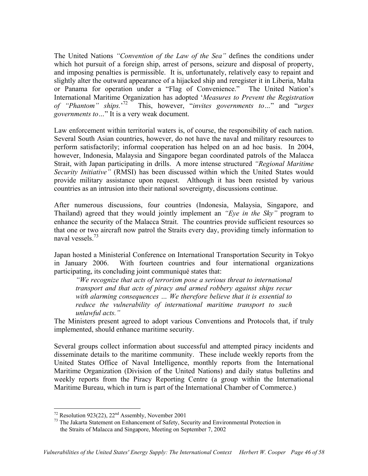The United Nations *"Convention of the Law of the Sea"* defines the conditions under which hot pursuit of a foreign ship, arrest of persons, seizure and disposal of property, and imposing penalties is permissible. It is, unfortunately, relatively easy to repaint and slightly alter the outward appearance of a hijacked ship and reregister it in Liberia, Malta or Panama for operation under a "Flag of Convenience." The United Nation's International Maritime Organization has adopted '*Measures to Prevent the Registration of "Phantom" ships.*' 72 This, however, "*invites governments to…*" and "*urges governments to…*" It is a very weak document.

Law enforcement within territorial waters is, of course, the responsibility of each nation. Several South Asian countries, however, do not have the naval and military resources to perform satisfactorily; informal cooperation has helped on an ad hoc basis. In 2004, however, Indonesia, Malaysia and Singapore began coordinated patrols of the Malacca Strait, with Japan participating in drills. A more intense structured *"Regional Maritime Security Initiative"* (RMSI) has been discussed within which the United States would provide military assistance upon request. Although it has been resisted by various countries as an intrusion into their national sovereignty, discussions continue.

After numerous discussions, four countries (Indonesia, Malaysia, Singapore, and Thailand) agreed that they would jointly implement an *"Eye in the Sky"* program to enhance the security of the Malacca Strait. The countries provide sufficient resources so that one or two aircraft now patrol the Straits every day, providing timely information to naval vessels<sup>73</sup>

Japan hosted a Ministerial Conference on International Transportation Security in Tokyo in January 2006. With fourteen countries and four international organizations participating, its concluding joint communiqué states that:

*"We recognize that acts of terrorism pose a serious threat to international transport and that acts of piracy and armed robbery against ships recur with alarming consequences … We therefore believe that it is essential to reduce the vulnerability of international maritime transport to such unlawful acts."* 

The Ministers present agreed to adopt various Conventions and Protocols that, if truly implemented, should enhance maritime security.

Several groups collect information about successful and attempted piracy incidents and disseminate details to the maritime community. These include weekly reports from the United States Office of Naval Intelligence, monthly reports from the International Maritime Organization (Division of the United Nations) and daily status bulletins and weekly reports from the Piracy Reporting Centre (a group within the International Maritime Bureau, which in turn is part of the International Chamber of Commerce.)

 $\overline{a}$ 

<sup>&</sup>lt;sup>72</sup> Resolution 923(22), 22<sup>nd</sup> Assembly, November 2001<br><sup>73</sup> The Jakarta Statement on Enhancement of Safety, Security and Environmental Protection in the Straits of Malacca and Singapore, Meeting on September 7, 2002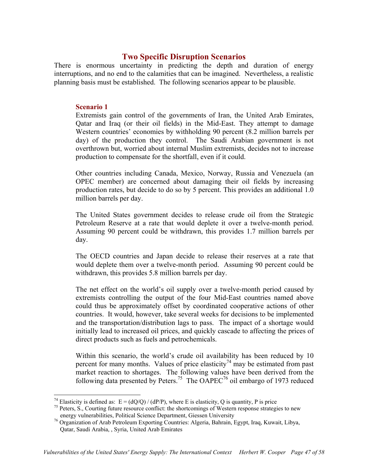# **Two Specific Disruption Scenarios**

There is enormous uncertainty in predicting the depth and duration of energy interruptions, and no end to the calamities that can be imagined. Nevertheless, a realistic planning basis must be established. The following scenarios appear to be plausible.

## **Scenario 1**

 $\overline{a}$ 

Extremists gain control of the governments of Iran, the United Arab Emirates, Qatar and Iraq (or their oil fields) in the Mid-East. They attempt to damage Western countries' economies by withholding 90 percent (8.2 million barrels per day) of the production they control. The Saudi Arabian government is not overthrown but, worried about internal Muslim extremists, decides not to increase production to compensate for the shortfall, even if it could.

Other countries including Canada, Mexico, Norway, Russia and Venezuela (an OPEC member) are concerned about damaging their oil fields by increasing production rates, but decide to do so by 5 percent. This provides an additional 1.0 million barrels per day.

The United States government decides to release crude oil from the Strategic Petroleum Reserve at a rate that would deplete it over a twelve-month period. Assuming 90 percent could be withdrawn, this provides 1.7 million barrels per day.

The OECD countries and Japan decide to release their reserves at a rate that would deplete them over a twelve-month period. Assuming 90 percent could be withdrawn, this provides 5.8 million barrels per day.

The net effect on the world's oil supply over a twelve-month period caused by extremists controlling the output of the four Mid-East countries named above could thus be approximately offset by coordinated cooperative actions of other countries. It would, however, take several weeks for decisions to be implemented and the transportation/distribution lags to pass. The impact of a shortage would initially lead to increased oil prices, and quickly cascade to affecting the prices of direct products such as fuels and petrochemicals.

Within this scenario, the world's crude oil availability has been reduced by 10 percent for many months. Values of price elasticity<sup>74</sup> may be estimated from past market reaction to shortages. The following values have been derived from the following data presented by Peters.<sup>75</sup> The OAPEC<sup>76</sup> oil embargo of 1973 reduced

<sup>&</sup>lt;sup>74</sup> Elasticity is defined as: E = (dQ/Q) / (dP/P), where E is elasticity, Q is quantity, P is price  $^{75}$  Peters, S., Courting future resource conflict: the shortcomings of Western response strategies to new

energy vulnerabilities, Political Science Department, Giessen University

<sup>76</sup> Organization of Arab Petroleum Exporting Countries: Algeria, Bahrain, Egypt, Iraq, Kuwait, Libya, Qatar, Saudi Arabia, , Syria, United Arab Emirates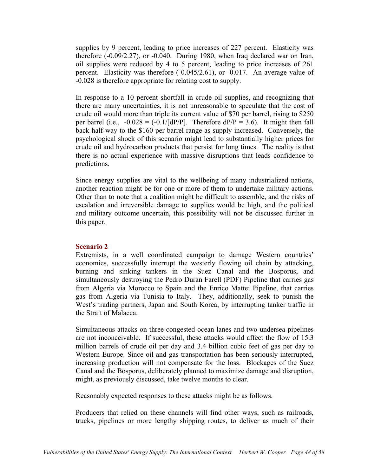supplies by 9 percent, leading to price increases of 227 percent. Elasticity was therefore (-0.09/2.27), or -0.040. During 1980, when Iraq declared war on Iran, oil supplies were reduced by 4 to 5 percent, leading to price increases of 261 percent. Elasticity was therefore (-0.045/2.61), or -0.017. An average value of -0.028 is therefore appropriate for relating cost to supply.

In response to a 10 percent shortfall in crude oil supplies, and recognizing that there are many uncertainties, it is not unreasonable to speculate that the cost of crude oil would more than triple its current value of \$70 per barrel, rising to \$250 per barrel (i.e.,  $-0.028 = (-0.1/[dP/P])$ . Therefore  $dP/P = 3.6$ ). It might then fall back half-way to the \$160 per barrel range as supply increased. Conversely, the psychological shock of this scenario might lead to substantially higher prices for crude oil and hydrocarbon products that persist for long times. The reality is that there is no actual experience with massive disruptions that leads confidence to predictions.

Since energy supplies are vital to the wellbeing of many industrialized nations, another reaction might be for one or more of them to undertake military actions. Other than to note that a coalition might be difficult to assemble, and the risks of escalation and irreversible damage to supplies would be high, and the political and military outcome uncertain, this possibility will not be discussed further in this paper.

### **Scenario 2**

Extremists, in a well coordinated campaign to damage Western countries' economies, successfully interrupt the westerly flowing oil chain by attacking, burning and sinking tankers in the Suez Canal and the Bosporus, and simultaneously destroying the Pedro Duran Farell (PDF) Pipeline that carries gas from Algeria via Morocco to Spain and the Enrico Mattei Pipeline, that carries gas from Algeria via Tunisia to Italy. They, additionally, seek to punish the West's trading partners, Japan and South Korea, by interrupting tanker traffic in the Strait of Malacca.

Simultaneous attacks on three congested ocean lanes and two undersea pipelines are not inconceivable. If successful, these attacks would affect the flow of 15.3 million barrels of crude oil per day and 3.4 billion cubic feet of gas per day to Western Europe. Since oil and gas transportation has been seriously interrupted, increasing production will not compensate for the loss. Blockages of the Suez Canal and the Bosporus, deliberately planned to maximize damage and disruption, might, as previously discussed, take twelve months to clear.

Reasonably expected responses to these attacks might be as follows.

Producers that relied on these channels will find other ways, such as railroads, trucks, pipelines or more lengthy shipping routes, to deliver as much of their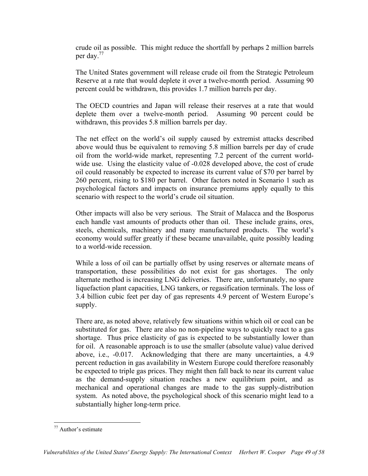crude oil as possible. This might reduce the shortfall by perhaps 2 million barrels per day.77

The United States government will release crude oil from the Strategic Petroleum Reserve at a rate that would deplete it over a twelve-month period. Assuming 90 percent could be withdrawn, this provides 1.7 million barrels per day.

The OECD countries and Japan will release their reserves at a rate that would deplete them over a twelve-month period. Assuming 90 percent could be withdrawn, this provides 5.8 million barrels per day.

The net effect on the world's oil supply caused by extremist attacks described above would thus be equivalent to removing 5.8 million barrels per day of crude oil from the world-wide market, representing 7.2 percent of the current worldwide use. Using the elasticity value of  $-0.028$  developed above, the cost of crude oil could reasonably be expected to increase its current value of \$70 per barrel by 260 percent, rising to \$180 per barrel. Other factors noted in Scenario 1 such as psychological factors and impacts on insurance premiums apply equally to this scenario with respect to the world's crude oil situation.

Other impacts will also be very serious. The Strait of Malacca and the Bosporus each handle vast amounts of products other than oil. These include grains, ores, steels, chemicals, machinery and many manufactured products. The world's economy would suffer greatly if these became unavailable, quite possibly leading to a world-wide recession.

While a loss of oil can be partially offset by using reserves or alternate means of transportation, these possibilities do not exist for gas shortages. The only alternate method is increasing LNG deliveries. There are, unfortunately, no spare liquefaction plant capacities, LNG tankers, or regasification terminals. The loss of 3.4 billion cubic feet per day of gas represents 4.9 percent of Western Europe's supply.

There are, as noted above, relatively few situations within which oil or coal can be substituted for gas. There are also no non-pipeline ways to quickly react to a gas shortage. Thus price elasticity of gas is expected to be substantially lower than for oil. A reasonable approach is to use the smaller (absolute value) value derived above, i.e., -0.017. Acknowledging that there are many uncertainties, a 4.9 percent reduction in gas availability in Western Europe could therefore reasonably be expected to triple gas prices. They might then fall back to near its current value as the demand-supply situation reaches a new equilibrium point, and as mechanical and operational changes are made to the gas supply-distribution system. As noted above, the psychological shock of this scenario might lead to a substantially higher long-term price.

<u>.</u>

<sup>77</sup> Author's estimate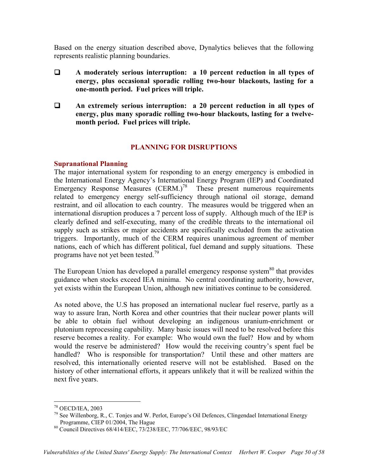Based on the energy situation described above, Dynalytics believes that the following represents realistic planning boundaries.

- **A moderately serious interruption: a 10 percent reduction in all types of energy, plus occasional sporadic rolling two-hour blackouts, lasting for a one-month period. Fuel prices will triple.**
- **An extremely serious interruption: a 20 percent reduction in all types of energy, plus many sporadic rolling two-hour blackouts, lasting for a twelvemonth period. Fuel prices will triple.**

# **PLANNING FOR DISRUPTIONS**

## **Supranational Planning**

The major international system for responding to an energy emergency is embodied in the International Energy Agency's International Energy Program (IEP) and Coordinated Emergency Response Measures  $(CERM.)^{78}$  These present numerous requirements related to emergency energy self-sufficiency through national oil storage, demand restraint, and oil allocation to each country. The measures would be triggered when an international disruption produces a 7 percent loss of supply. Although much of the IEP is clearly defined and self-executing, many of the credible threats to the international oil supply such as strikes or major accidents are specifically excluded from the activation triggers. Importantly, much of the CERM requires unanimous agreement of member nations, each of which has different political, fuel demand and supply situations. These programs have not yet been tested.<sup>79</sup>

The European Union has developed a parallel emergency response system<sup>80</sup> that provides guidance when stocks exceed IEA minima. No central coordinating authority, however, yet exists within the European Union, although new initiatives continue to be considered.

As noted above, the U.S has proposed an international nuclear fuel reserve, partly as a way to assure Iran, North Korea and other countries that their nuclear power plants will be able to obtain fuel without developing an indigenous uranium-enrichment or plutonium reprocessing capability. Many basic issues will need to be resolved before this reserve becomes a reality. For example: Who would own the fuel? How and by whom would the reserve be administered? How would the receiving country's spent fuel be handled? Who is responsible for transportation? Until these and other matters are resolved, this internationally oriented reserve will not be established. Based on the history of other international efforts, it appears unlikely that it will be realized within the next five years.

 $\overline{a}$ 78 OECD/IEA, 2003

<sup>79</sup> See Willenborg, R., C. Tonjes and W. Perlot, Europe's Oil Defences, Clingendael International Energy Programme, CIEP 01/2004, The Hague

<sup>80</sup> Council Directives 68/414/EEC, 73/238/EEC, 77/706/EEC, 98/93/EC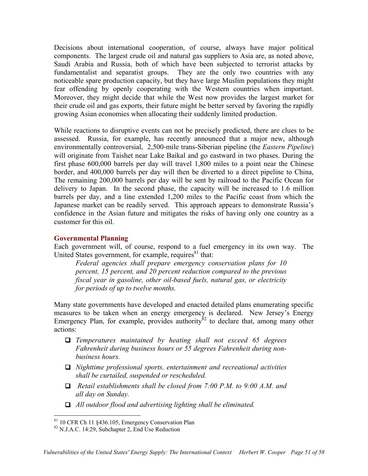Decisions about international cooperation, of course, always have major political components. The largest crude oil and natural gas suppliers to Asia are, as noted above, Saudi Arabia and Russia, both of which have been subjected to terrorist attacks by fundamentalist and separatist groups. They are the only two countries with any noticeable spare production capacity, but they have large Muslim populations they might fear offending by openly cooperating with the Western countries when important. Moreover, they might decide that while the West now provides the largest market for their crude oil and gas exports, their future might be better served by favoring the rapidly growing Asian economies when allocating their suddenly limited production.

While reactions to disruptive events can not be precisely predicted, there are clues to be assessed. Russia, for example, has recently announced that a major new, although environmentally controversial, 2,500-mile trans-Siberian pipeline (the *Eastern Pipeline*) will originate from Taishet near Lake Baikal and go eastward in two phases. During the first phase 600,000 barrels per day will travel 1,800 miles to a point near the Chinese border, and 400,000 barrels per day will then be diverted to a direct pipeline to China, The remaining 200,000 barrels per day will be sent by railroad to the Pacific Ocean for delivery to Japan. In the second phase, the capacity will be increased to 1.6 million barrels per day, and a line extended 1,200 miles to the Pacific coast from which the Japanese market can be readily served. This approach appears to demonstrate Russia's confidence in the Asian future and mitigates the risks of having only one country as a customer for this oil.

## **Governmental Planning**

Each government will, of course, respond to a fuel emergency in its own way. The United States government, for example, requires $81$  that:

*Federal agencies shall prepare emergency conservation plans for 10 percent, 15 percent, and 20 percent reduction compared to the previous fiscal year in gasoline, other oil-based fuels, natural gas, or electricity for periods of up to twelve months.* 

Many state governments have developed and enacted detailed plans enumerating specific measures to be taken when an energy emergency is declared. New Jersey's Energy Emergency Plan, for example, provides authority  $\frac{82}{2}$  to declare that, among many other actions:

- *Temperatures maintained by heating shall not exceed 65 degrees Fahrenheit during business hours or 55 degrees Fahrenheit during nonbusiness hours.*
- *Nighttime professional sports, entertainment and recreational activities shall be curtailed, suspended or rescheduled.*
- *Retail establishments shall be closed from 7:00 P.M. to 9:00 A.M. and all day on Sunday.*
- *All outdoor flood and advertising lighting shall be eliminated.*

 $\overline{a}$ 

<sup>&</sup>lt;sup>81</sup> 10 CFR Ch 11 §436.105, Emergency Conservation Plan

 $82$  N.J.A.C. 14:29, Subchapter 2, End Use Reduction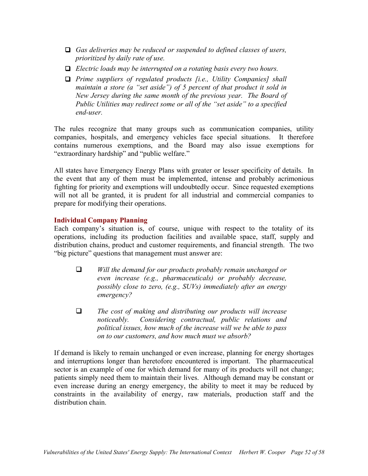- *Gas deliveries may be reduced or suspended to defined classes of users, prioritized by daily rate of use.*
- *Electric loads may be interrupted on a rotating basis every two hours.*
- *Prime suppliers of regulated products [i.e., Utility Companies] shall maintain a store (a "set aside") of 5 percent of that product it sold in New Jersey during the same month of the previous year. The Board of Public Utilities may redirect some or all of the "set aside" to a specified end-user.*

The rules recognize that many groups such as communication companies, utility companies, hospitals, and emergency vehicles face special situations. It therefore contains numerous exemptions, and the Board may also issue exemptions for "extraordinary hardship" and "public welfare."

All states have Emergency Energy Plans with greater or lesser specificity of details. In the event that any of them must be implemented, intense and probably acrimonious fighting for priority and exemptions will undoubtedly occur. Since requested exemptions will not all be granted, it is prudent for all industrial and commercial companies to prepare for modifying their operations.

# **Individual Company Planning**

Each company's situation is, of course, unique with respect to the totality of its operations, including its production facilities and available space, staff, supply and distribution chains, product and customer requirements, and financial strength. The two "big picture" questions that management must answer are:

- *Will the demand for our products probably remain unchanged or even increase (e.g., pharmaceuticals) or probably decrease, possibly close to zero, (e.g., SUVs) immediately after an energy emergency?*
- *The cost of making and distributing our products will increase noticeably. Considering contractual, public relations and political issues, how much of the increase will we be able to pass on to our customers, and how much must we absorb?*

If demand is likely to remain unchanged or even increase, planning for energy shortages and interruptions longer than heretofore encountered is important. The pharmaceutical sector is an example of one for which demand for many of its products will not change; patients simply need them to maintain their lives. Although demand may be constant or even increase during an energy emergency, the ability to meet it may be reduced by constraints in the availability of energy, raw materials, production staff and the distribution chain.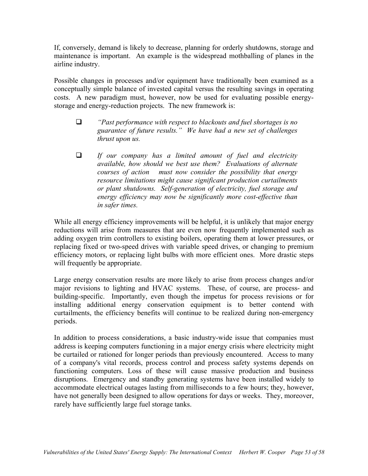If, conversely, demand is likely to decrease, planning for orderly shutdowns, storage and maintenance is important. An example is the widespread mothballing of planes in the airline industry.

Possible changes in processes and/or equipment have traditionally been examined as a conceptually simple balance of invested capital versus the resulting savings in operating costs. A new paradigm must, however, now be used for evaluating possible energystorage and energy-reduction projects. The new framework is:

- *"Past performance with respect to blackouts and fuel shortages is no guarantee of future results." We have had a new set of challenges thrust upon us.*
- *If our company has a limited amount of fuel and electricity available, how should we best use them? Evaluations of alternate courses of action must now consider the possibility that energy resource limitations might cause significant production curtailments or plant shutdowns. Self-generation of electricity, fuel storage and energy efficiency may now be significantly more cost-effective than in safer times.*

While all energy efficiency improvements will be helpful, it is unlikely that major energy reductions will arise from measures that are even now frequently implemented such as adding oxygen trim controllers to existing boilers, operating them at lower pressures, or replacing fixed or two-speed drives with variable speed drives, or changing to premium efficiency motors, or replacing light bulbs with more efficient ones. More drastic steps will frequently be appropriate.

Large energy conservation results are more likely to arise from process changes and/or major revisions to lighting and HVAC systems. These, of course, are process- and building-specific. Importantly, even though the impetus for process revisions or for installing additional energy conservation equipment is to better contend with curtailments, the efficiency benefits will continue to be realized during non-emergency periods.

In addition to process considerations, a basic industry-wide issue that companies must address is keeping computers functioning in a major energy crisis where electricity might be curtailed or rationed for longer periods than previously encountered. Access to many of a company's vital records, process control and process safety systems depends on functioning computers. Loss of these will cause massive production and business disruptions. Emergency and standby generating systems have been installed widely to accommodate electrical outages lasting from milliseconds to a few hours; they, however, have not generally been designed to allow operations for days or weeks. They, moreover, rarely have sufficiently large fuel storage tanks.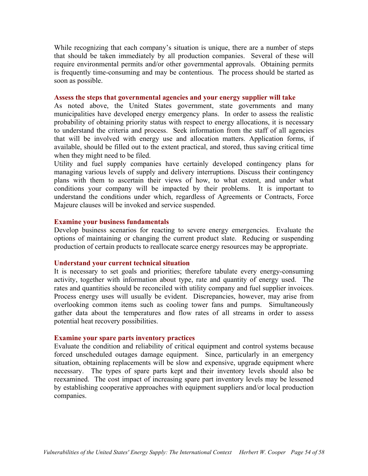While recognizing that each company's situation is unique, there are a number of steps that should be taken immediately by all production companies. Several of these will require environmental permits and/or other governmental approvals. Obtaining permits is frequently time-consuming and may be contentious. The process should be started as soon as possible.

### **Assess the steps that governmental agencies and your energy supplier will take**

As noted above, the United States government, state governments and many municipalities have developed energy emergency plans. In order to assess the realistic probability of obtaining priority status with respect to energy allocations, it is necessary to understand the criteria and process. Seek information from the staff of all agencies that will be involved with energy use and allocation matters. Application forms, if available, should be filled out to the extent practical, and stored, thus saving critical time when they might need to be filed.

Utility and fuel supply companies have certainly developed contingency plans for managing various levels of supply and delivery interruptions. Discuss their contingency plans with them to ascertain their views of how, to what extent, and under what conditions your company will be impacted by their problems. It is important to understand the conditions under which, regardless of Agreements or Contracts, Force Majeure clauses will be invoked and service suspended.

### **Examine your business fundamentals**

Develop business scenarios for reacting to severe energy emergencies. Evaluate the options of maintaining or changing the current product slate. Reducing or suspending production of certain products to reallocate scarce energy resources may be appropriate.

### **Understand your current technical situation**

It is necessary to set goals and priorities; therefore tabulate every energy-consuming activity, together with information about type, rate and quantity of energy used. The rates and quantities should be reconciled with utility company and fuel supplier invoices. Process energy uses will usually be evident. Discrepancies, however, may arise from overlooking common items such as cooling tower fans and pumps. Simultaneously gather data about the temperatures and flow rates of all streams in order to assess potential heat recovery possibilities.

### **Examine your spare parts inventory practices**

Evaluate the condition and reliability of critical equipment and control systems because forced unscheduled outages damage equipment. Since, particularly in an emergency situation, obtaining replacements will be slow and expensive, upgrade equipment where necessary. The types of spare parts kept and their inventory levels should also be reexamined. The cost impact of increasing spare part inventory levels may be lessened by establishing cooperative approaches with equipment suppliers and/or local production companies.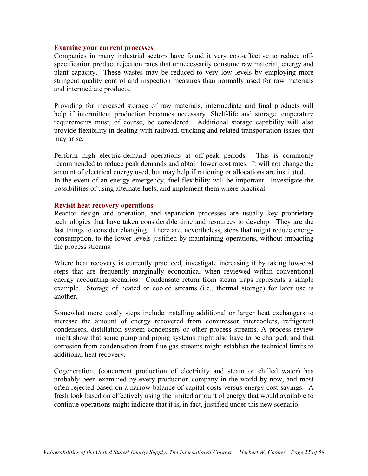### **Examine your current processes**

Companies in many industrial sectors have found it very cost-effective to reduce offspecification product rejection rates that unnecessarily consume raw material, energy and plant capacity. These wastes may be reduced to very low levels by employing more stringent quality control and inspection measures than normally used for raw materials and intermediate products.

Providing for increased storage of raw materials, intermediate and final products will help if intermittent production becomes necessary. Shelf-life and storage temperature requirements must, of course, be considered. Additional storage capability will also provide flexibility in dealing with railroad, trucking and related transportation issues that may arise.

Perform high electric-demand operations at off-peak periods. This is commonly recommended to reduce peak demands and obtain lower cost rates. It will not change the amount of electrical energy used, but may help if rationing or allocations are instituted. In the event of an energy emergency, fuel-flexibility will be important. Investigate the possibilities of using alternate fuels, and implement them where practical.

### **Revisit heat recovery operations**

Reactor design and operation, and separation processes are usually key proprietary technologies that have taken considerable time and resources to develop. They are the last things to consider changing. There are, nevertheless, steps that might reduce energy consumption, to the lower levels justified by maintaining operations, without impacting the process streams.

Where heat recovery is currently practiced, investigate increasing it by taking low-cost steps that are frequently marginally economical when reviewed within conventional energy accounting scenarios. Condensate return from steam traps represents a simple example. Storage of heated or cooled streams (i.e., thermal storage) for later use is another.

Somewhat more costly steps include installing additional or larger heat exchangers to increase the amount of energy recovered from compressor intercoolers, refrigerant condensers, distillation system condensers or other process streams. A process review might show that some pump and piping systems might also have to be changed, and that corrosion from condensation from flue gas streams might establish the technical limits to additional heat recovery.

Cogeneration, (concurrent production of electricity and steam or chilled water) has probably been examined by every production company in the world by now, and most often rejected based on a narrow balance of capital costs versus energy cost savings. A fresh look based on effectively using the limited amount of energy that would available to continue operations might indicate that it is, in fact, justified under this new scenario,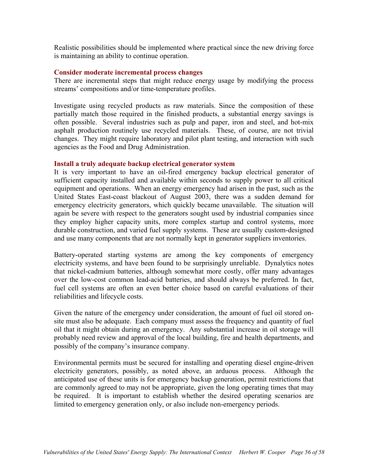Realistic possibilities should be implemented where practical since the new driving force is maintaining an ability to continue operation.

#### **Consider moderate incremental process changes**

There are incremental steps that might reduce energy usage by modifying the process streams' compositions and/or time-temperature profiles.

Investigate using recycled products as raw materials. Since the composition of these partially match those required in the finished products, a substantial energy savings is often possible. Several industries such as pulp and paper, iron and steel, and hot-mix asphalt production routinely use recycled materials. These, of course, are not trivial changes. They might require laboratory and pilot plant testing, and interaction with such agencies as the Food and Drug Administration.

#### **Install a truly adequate backup electrical generator system**

It is very important to have an oil-fired emergency backup electrical generator of sufficient capacity installed and available within seconds to supply power to all critical equipment and operations. When an energy emergency had arisen in the past, such as the United States East-coast blackout of August 2003, there was a sudden demand for emergency electricity generators, which quickly became unavailable. The situation will again be severe with respect to the generators sought used by industrial companies since they employ higher capacity units, more complex startup and control systems, more durable construction, and varied fuel supply systems. These are usually custom-designed and use many components that are not normally kept in generator suppliers inventories.

Battery-operated starting systems are among the key components of emergency electricity systems, and have been found to be surprisingly unreliable. Dynalytics notes that nickel-cadmium batteries, although somewhat more costly, offer many advantages over the low-cost common lead-acid batteries, and should always be preferred. In fact, fuel cell systems are often an even better choice based on careful evaluations of their reliabilities and lifecycle costs.

Given the nature of the emergency under consideration, the amount of fuel oil stored onsite must also be adequate. Each company must assess the frequency and quantity of fuel oil that it might obtain during an emergency. Any substantial increase in oil storage will probably need review and approval of the local building, fire and health departments, and possibly of the company's insurance company.

Environmental permits must be secured for installing and operating diesel engine-driven electricity generators, possibly, as noted above, an arduous process. Although the anticipated use of these units is for emergency backup generation, permit restrictions that are commonly agreed to may not be appropriate, given the long operating times that may be required. It is important to establish whether the desired operating scenarios are limited to emergency generation only, or also include non-emergency periods.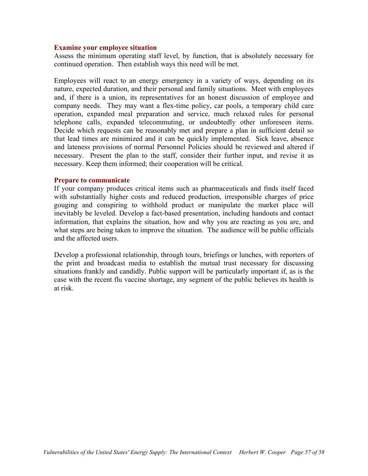### **Examine your employee situation**

Assess the minimum operating staff level, by function, that is absolutely necessary for continued operation. Then establish ways this need will be met.

Employees will react to an energy emergency in a variety of ways, depending on its nature, expected duration, and their personal and family situations. Meet with employees and, if there is a union, its representatives for an honest discussion of employee and company needs. They may want a flex-time policy, car pools, a temporary child care operation, expanded meal preparation and service, much relaxed rules for personal telephone calls, expanded telecommuting, or undoubtedly other unforeseen items. Decide which requests can be reasonably met and prepare a plan in sufficient detail so that lead times are minimized and it can be quickly implemented. Sick leave, absence and lateness provisions of normal Personnel Policies should be reviewed and altered if necessary. Present the plan to the staff, consider their further input, and revise it as necessary. Keep them informed; their cooperation will be critical.

#### **Prepare to communicate**

If your company produces critical items such as pharmaceuticals and finds itself faced with substantially higher costs and reduced production, irresponsible charges of price gouging and conspiring to withhold product or manipulate the market place will inevitably be leveled. Develop a fact-based presentation, including handouts and contact information, that explains the situation, how and why you are reacting as you are, and what steps are being taken to improve the situation. The audience will be public officials and the affected users.

Develop a professional relationship, through tours, briefings or lunches, with reporters of the print and broadcast media to establish the mutual trust necessary for discussing situations frankly and candidly. Public support will be particularly important if, as is the case with the recent flu vaccine shortage, any segment of the public believes its health is at risk.